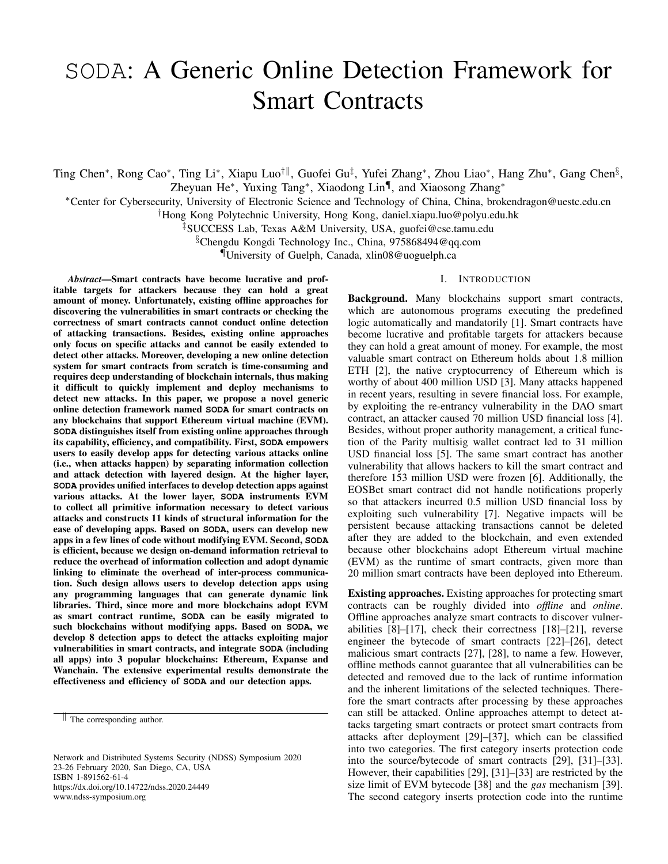# SODA: A Generic Online Detection Framework for Smart Contracts

Ting Chen\*, Rong Cao\*, Ting Li\*, Xiapu Luo<sup>†∥</sup>, Guofei Gu<sup>‡</sup>, Yufei Zhang\*, Zhou Liao\*, Hang Zhu\*, Gang Chen§, Zheyuan He<sup>∗</sup> , Yuxing Tang<sup>∗</sup> , Xiaodong Lin¶ , and Xiaosong Zhang<sup>∗</sup>

<sup>∗</sup>Center for Cybersecurity, University of Electronic Science and Technology of China, China, brokendragon@uestc.edu.cn

†Hong Kong Polytechnic University, Hong Kong, daniel.xiapu.luo@polyu.edu.hk

‡SUCCESS Lab, Texas A&M University, USA, guofei@cse.tamu.edu

§Chengdu Kongdi Technology Inc., China, 975868494@qq.com

¶University of Guelph, Canada, xlin08@uoguelph.ca

#### I. INTRODUCTION

*Abstract*—Smart contracts have become lucrative and profitable targets for attackers because they can hold a great amount of money. Unfortunately, existing offline approaches for discovering the vulnerabilities in smart contracts or checking the correctness of smart contracts cannot conduct online detection of attacking transactions. Besides, existing online approaches only focus on specific attacks and cannot be easily extended to detect other attacks. Moreover, developing a new online detection system for smart contracts from scratch is time-consuming and requires deep understanding of blockchain internals, thus making it difficult to quickly implement and deploy mechanisms to detect new attacks. In this paper, we propose a novel generic online detection framework named **SODA** for smart contracts on any blockchains that support Ethereum virtual machine (EVM). **SODA** distinguishes itself from existing online approaches through its capability, efficiency, and compatibility. First, **SODA** empowers users to easily develop apps for detecting various attacks online (i.e., when attacks happen) by separating information collection and attack detection with layered design. At the higher layer, **SODA** provides unified interfaces to develop detection apps against various attacks. At the lower layer, **SODA** instruments EVM to collect all primitive information necessary to detect various attacks and constructs 11 kinds of structural information for the ease of developing apps. Based on **SODA**, users can develop new apps in a few lines of code without modifying EVM. Second, **SODA** is efficient, because we design on-demand information retrieval to reduce the overhead of information collection and adopt dynamic linking to eliminate the overhead of inter-process communication. Such design allows users to develop detection apps using any programming languages that can generate dynamic link libraries. Third, since more and more blockchains adopt EVM as smart contract runtime, **SODA** can be easily migrated to such blockchains without modifying apps. Based on **SODA**, we develop 8 detection apps to detect the attacks exploiting major vulnerabilities in smart contracts, and integrate **SODA** (including all apps) into 3 popular blockchains: Ethereum, Expanse and Wanchain. The extensive experimental results demonstrate the effectiveness and efficiency of **SODA** and our detection apps.

Network and Distributed Systems Security (NDSS) Symposium 2020 23-26 February 2020, San Diego, CA, USA ISBN 1-891562-61-4 https://dx.doi.org/10.14722/ndss.2020.24449 www.ndss-symposium.org

Background. Many blockchains support smart contracts, which are autonomous programs executing the predefined logic automatically and mandatorily [1]. Smart contracts have become lucrative and profitable targets for attackers because they can hold a great amount of money. For example, the most valuable smart contract on Ethereum holds about 1.8 million ETH [2], the native cryptocurrency of Ethereum which is worthy of about 400 million USD [3]. Many attacks happened in recent years, resulting in severe financial loss. For example, by exploiting the re-entrancy vulnerability in the DAO smart contract, an attacker caused 70 million USD financial loss [4]. Besides, without proper authority management, a critical function of the Parity multisig wallet contract led to 31 million USD financial loss [5]. The same smart contract has another vulnerability that allows hackers to kill the smart contract and therefore 153 million USD were frozen [6]. Additionally, the EOSBet smart contract did not handle notifications properly so that attackers incurred 0.5 million USD financial loss by exploiting such vulnerability [7]. Negative impacts will be persistent because attacking transactions cannot be deleted after they are added to the blockchain, and even extended because other blockchains adopt Ethereum virtual machine (EVM) as the runtime of smart contracts, given more than 20 million smart contracts have been deployed into Ethereum.

Existing approaches. Existing approaches for protecting smart contracts can be roughly divided into *offline* and *online*. Offline approaches analyze smart contracts to discover vulnerabilities  $\bar{8}$ ]–[17], check their correctness [18]–[21], reverse engineer the bytecode of smart contracts [22]–[26], detect malicious smart contracts [27], [28], to name a few. However, offline methods cannot guarantee that all vulnerabilities can be detected and removed due to the lack of runtime information and the inherent limitations of the selected techniques. Therefore the smart contracts after processing by these approaches can still be attacked. Online approaches attempt to detect attacks targeting smart contracts or protect smart contracts from attacks after deployment [29]–[37], which can be classified into two categories. The first category inserts protection code into the source/bytecode of smart contracts [29], [31]–[33]. However, their capabilities [29], [31]–[33] are restricted by the size limit of EVM bytecode [38] and the *gas* mechanism [39]. The second category inserts protection code into the runtime

 $\parallel$  The corresponding author.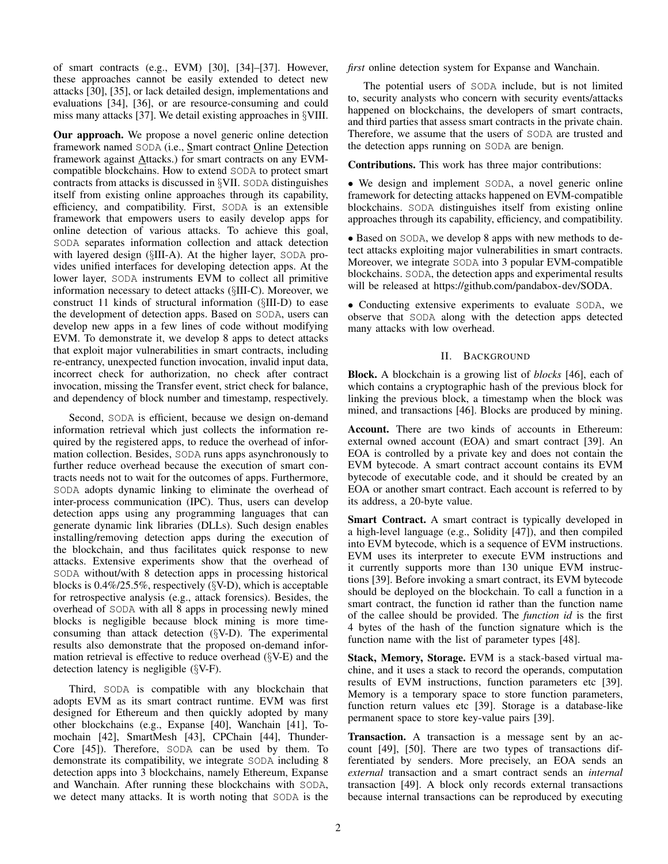of smart contracts (e.g., EVM) [30], [34]–[37]. However, these approaches cannot be easily extended to detect new attacks [30], [35], or lack detailed design, implementations and evaluations [34], [36], or are resource-consuming and could miss many attacks [37]. We detail existing approaches in §VIII.

Our approach. We propose a novel generic online detection framework named SODA (i.e., Smart contract Online Detection framework against Attacks.) for smart contracts on any EVMcompatible blockchains. How to extend SODA to protect smart contracts from attacks is discussed in §VII. SODA distinguishes itself from existing online approaches through its capability, efficiency, and compatibility. First, SODA is an extensible framework that empowers users to easily develop apps for online detection of various attacks. To achieve this goal, SODA separates information collection and attack detection with layered design (§III-A). At the higher layer, SODA provides unified interfaces for developing detection apps. At the lower layer, SODA instruments EVM to collect all primitive information necessary to detect attacks (§III-C). Moreover, we construct 11 kinds of structural information (§III-D) to ease the development of detection apps. Based on SODA, users can develop new apps in a few lines of code without modifying EVM. To demonstrate it, we develop 8 apps to detect attacks that exploit major vulnerabilities in smart contracts, including re-entrancy, unexpected function invocation, invalid input data, incorrect check for authorization, no check after contract invocation, missing the Transfer event, strict check for balance, and dependency of block number and timestamp, respectively.

Second, SODA is efficient, because we design on-demand information retrieval which just collects the information required by the registered apps, to reduce the overhead of information collection. Besides, SODA runs apps asynchronously to further reduce overhead because the execution of smart contracts needs not to wait for the outcomes of apps. Furthermore, SODA adopts dynamic linking to eliminate the overhead of inter-process communication (IPC). Thus, users can develop detection apps using any programming languages that can generate dynamic link libraries (DLLs). Such design enables installing/removing detection apps during the execution of the blockchain, and thus facilitates quick response to new attacks. Extensive experiments show that the overhead of SODA without/with 8 detection apps in processing historical blocks is 0.4%/25.5%, respectively (§V-D), which is acceptable for retrospective analysis (e.g., attack forensics). Besides, the overhead of SODA with all 8 apps in processing newly mined blocks is negligible because block mining is more timeconsuming than attack detection (§V-D). The experimental results also demonstrate that the proposed on-demand information retrieval is effective to reduce overhead  $(\S{V-E})$  and the detection latency is negligible (§V-F).

Third, SODA is compatible with any blockchain that adopts EVM as its smart contract runtime. EVM was first designed for Ethereum and then quickly adopted by many other blockchains (e.g., Expanse [40], Wanchain [41], Tomochain [42], SmartMesh [43], CPChain [44], Thunder-Core [45]). Therefore, SODA can be used by them. To demonstrate its compatibility, we integrate SODA including 8 detection apps into 3 blockchains, namely Ethereum, Expanse and Wanchain. After running these blockchains with SODA, we detect many attacks. It is worth noting that SODA is the *first* online detection system for Expanse and Wanchain.

The potential users of SODA include, but is not limited to, security analysts who concern with security events/attacks happened on blockchains, the developers of smart contracts, and third parties that assess smart contracts in the private chain. Therefore, we assume that the users of SODA are trusted and the detection apps running on SODA are benign.

Contributions. This work has three major contributions:

• We design and implement SODA, a novel generic online framework for detecting attacks happened on EVM-compatible blockchains. SODA distinguishes itself from existing online approaches through its capability, efficiency, and compatibility.

• Based on SODA, we develop 8 apps with new methods to detect attacks exploiting major vulnerabilities in smart contracts. Moreover, we integrate SODA into 3 popular EVM-compatible blockchains. SODA, the detection apps and experimental results will be released at https://github.com/pandabox-dev/SODA.

• Conducting extensive experiments to evaluate SODA, we observe that SODA along with the detection apps detected many attacks with low overhead.

## II. BACKGROUND

Block. A blockchain is a growing list of *blocks* [46], each of which contains a cryptographic hash of the previous block for linking the previous block, a timestamp when the block was mined, and transactions [46]. Blocks are produced by mining.

Account. There are two kinds of accounts in Ethereum: external owned account (EOA) and smart contract [39]. An EOA is controlled by a private key and does not contain the EVM bytecode. A smart contract account contains its EVM bytecode of executable code, and it should be created by an EOA or another smart contract. Each account is referred to by its address, a 20-byte value.

Smart Contract. A smart contract is typically developed in a high-level language (e.g., Solidity [47]), and then compiled into EVM bytecode, which is a sequence of EVM instructions. EVM uses its interpreter to execute EVM instructions and it currently supports more than 130 unique EVM instructions [39]. Before invoking a smart contract, its EVM bytecode should be deployed on the blockchain. To call a function in a smart contract, the function id rather than the function name of the callee should be provided. The *function id* is the first 4 bytes of the hash of the function signature which is the function name with the list of parameter types [48].

Stack, Memory, Storage. EVM is a stack-based virtual machine, and it uses a stack to record the operands, computation results of EVM instructions, function parameters etc [39]. Memory is a temporary space to store function parameters, function return values etc [39]. Storage is a database-like permanent space to store key-value pairs [39].

Transaction. A transaction is a message sent by an account [49], [50]. There are two types of transactions differentiated by senders. More precisely, an EOA sends an *external* transaction and a smart contract sends an *internal* transaction [49]. A block only records external transactions because internal transactions can be reproduced by executing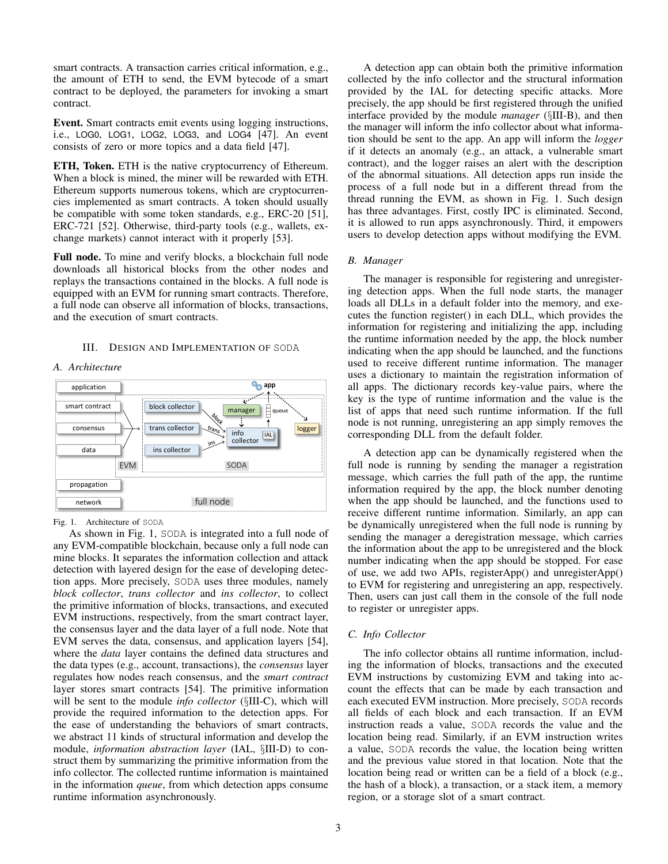smart contracts. A transaction carries critical information, e.g., the amount of ETH to send, the EVM bytecode of a smart contract to be deployed, the parameters for invoking a smart contract.

Event. Smart contracts emit events using logging instructions, i.e., LOG0, LOG1, LOG2, LOG3, and LOG4 [47]. An event consists of zero or more topics and a data field [47].

ETH, Token. ETH is the native cryptocurrency of Ethereum. When a block is mined, the miner will be rewarded with ETH. Ethereum supports numerous tokens, which are cryptocurrencies implemented as smart contracts. A token should usually be compatible with some token standards, e.g., ERC-20 [51], ERC-721 [52]. Otherwise, third-party tools (e.g., wallets, exchange markets) cannot interact with it properly [53].

Full node. To mine and verify blocks, a blockchain full node downloads all historical blocks from the other nodes and replays the transactions contained in the blocks. A full node is equipped with an EVM for running smart contracts. Therefore, a full node can observe all information of blocks, transactions, and the execution of smart contracts.

## III. DESIGN AND IMPLEMENTATION OF SODA

## *A. Architecture*



Fig. 1. Architecture of SODA

in the information *queue*, from which detection apps consume block collector As shown in Fig. 1, SODA is integrated into a full node of any EVM-compatible blockchain, because only a full node can mine blocks. It separates the information collection and attack detection with layered design for the ease of developing detection apps. More precisely, SODA uses three modules, namely *block collector*, *trans collector* and *ins collector*, to collect the primitive information of blocks, transactions, and executed EVM instructions, respectively, from the smart contract layer, the consensus layer and the data layer of a full node. Note that EVM serves the data, consensus, and application layers [54], where the *data* layer contains the defined data structures and the data types (e.g., account, transactions), the *consensus* layer regulates how nodes reach consensus, and the *smart contract* layer stores smart contracts [54]. The primitive information will be sent to the module *info collector* (§III-C), which will provide the required information to the detection apps. For the ease of understanding the behaviors of smart contracts, we abstract 11 kinds of structural information and develop the module, *information abstraction layer* (IAL, §III-D) to construct them by summarizing the primitive information from the info collector. The collected runtime information is maintained runtime information asynchronously.

A detection app can obtain both the primitive information collected by the info collector and the structural information provided by the IAL for detecting specific attacks. More precisely, the app should be first registered through the unified interface provided by the module *manager* (§III-B), and then the manager will inform the info collector about what information should be sent to the app. An app will inform the *logger* if it detects an anomaly (e.g., an attack, a vulnerable smart contract), and the logger raises an alert with the description of the abnormal situations. All detection apps run inside the process of a full node but in a different thread from the thread running the EVM, as shown in Fig. 1. Such design has three advantages. First, costly IPC is eliminated. Second, it is allowed to run apps asynchronously. Third, it empowers users to develop detection apps without modifying the EVM.

## *B. Manager*

The manager is responsible for registering and unregistering detection apps. When the full node starts, the manager loads all DLLs in a default folder into the memory, and executes the function register() in each DLL, which provides the information for registering and initializing the app, including the runtime information needed by the app, the block number indicating when the app should be launched, and the functions used to receive different runtime information. The manager uses a dictionary to maintain the registration information of all apps. The dictionary records key-value pairs, where the key is the type of runtime information and the value is the list of apps that need such runtime information. If the full node is not running, unregistering an app simply removes the corresponding DLL from the default folder.

A detection app can be dynamically registered when the full node is running by sending the manager a registration message, which carries the full path of the app, the runtime information required by the app, the block number denoting when the app should be launched, and the functions used to receive different runtime information. Similarly, an app can be dynamically unregistered when the full node is running by sending the manager a deregistration message, which carries the information about the app to be unregistered and the block number indicating when the app should be stopped. For ease of use, we add two APIs, registerApp() and unregisterApp() to EVM for registering and unregistering an app, respectively. Then, users can just call them in the console of the full node to register or unregister apps.

# *C. Info Collector*

the hash of a block), a transaction, or a stack item, a memory The info collector obtains all runtime information, including the information of blocks, transactions and the executed EVM instructions by customizing EVM and taking into account the effects that can be made by each transaction and each executed EVM instruction. More precisely, SODA records all fields of each block and each transaction. If an EVM instruction reads a value, SODA records the value and the location being read. Similarly, if an EVM instruction writes a value, SODA records the value, the location being written and the previous value stored in that location. Note that the location being read or written can be a field of a block (e.g., region, or a storage slot of a smart contract.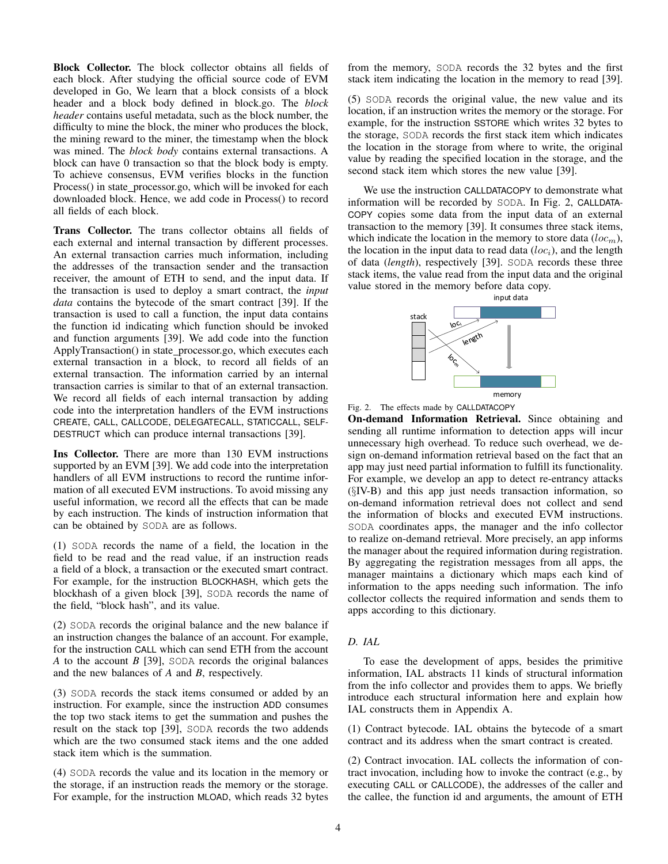Block Collector. The block collector obtains all fields of each block. After studying the official source code of EVM developed in Go, We learn that a block consists of a block header and a block body defined in block.go. The *block header* contains useful metadata, such as the block number, the difficulty to mine the block, the miner who produces the block, the mining reward to the miner, the timestamp when the block was mined. The *block body* contains external transactions. A block can have 0 transaction so that the block body is empty. To achieve consensus, EVM verifies blocks in the function Process() in state\_processor.go, which will be invoked for each downloaded block. Hence, we add code in Process() to record all fields of each block.

Trans Collector. The trans collector obtains all fields of each external and internal transaction by different processes. An external transaction carries much information, including the addresses of the transaction sender and the transaction receiver, the amount of ETH to send, and the input data. If the transaction is used to deploy a smart contract, the *input data* contains the bytecode of the smart contract [39]. If the transaction is used to call a function, the input data contains the function id indicating which function should be invoked and function arguments [39]. We add code into the function ApplyTransaction() in state processor.go, which executes each external transaction in a block, to record all fields of an external transaction. The information carried by an internal transaction carries is similar to that of an external transaction. We record all fields of each internal transaction by adding code into the interpretation handlers of the EVM instructions CREATE, CALL, CALLCODE, DELEGATECALL, STATICCALL, SELF-DESTRUCT which can produce internal transactions [39].

Ins Collector. There are more than 130 EVM instructions supported by an EVM [39]. We add code into the interpretation handlers of all EVM instructions to record the runtime information of all executed EVM instructions. To avoid missing any useful information, we record all the effects that can be made by each instruction. The kinds of instruction information that can be obtained by SODA are as follows.

(1) SODA records the name of a field, the location in the field to be read and the read value, if an instruction reads a field of a block, a transaction or the executed smart contract. For example, for the instruction BLOCKHASH, which gets the blockhash of a given block [39], SODA records the name of the field, "block hash", and its value.

(2) SODA records the original balance and the new balance if an instruction changes the balance of an account. For example, for the instruction CALL which can send ETH from the account *A* to the account *B* [39], SODA records the original balances and the new balances of *A* and *B*, respectively.

(3) SODA records the stack items consumed or added by an instruction. For example, since the instruction ADD consumes the top two stack items to get the summation and pushes the result on the stack top [39], SODA records the two addends which are the two consumed stack items and the one added stack item which is the summation.

(4) SODA records the value and its location in the memory or the storage, if an instruction reads the memory or the storage. For example, for the instruction MLOAD, which reads 32 bytes from the memory, SODA records the 32 bytes and the first stack item indicating the location in the memory to read [39].

(5) SODA records the original value, the new value and its location, if an instruction writes the memory or the storage. For example, for the instruction SSTORE which writes 32 bytes to the storage, SODA records the first stack item which indicates the location in the storage from where to write, the original value by reading the specified location in the storage, and the second stack item which stores the new value [39].

We use the instruction CALLDATACOPY to demonstrate what information will be recorded by SODA. In Fig. 2, CALLDATA-COPY copies some data from the input data of an external transaction to the memory [39]. It consumes three stack items, which indicate the location in the memory to store data  $(loc_m)$ , the location in the input data to read data  $(loc_i)$ , and the length of data (*length*), respectively [39]. SODA records these three stack items, the value read from the input data and the original value stored in the memory before data copy.





On-demand Information Retrieval. Since obtaining and sending all runtime information to detection apps will incur unnecessary high overhead. To reduce such overhead, we design on-demand information retrieval based on the fact that an app may just need partial information to fulfill its functionality. For example, we develop an app to detect re-entrancy attacks (§IV-B) and this app just needs transaction information, so on-demand information retrieval does not collect and send the information of blocks and executed EVM instructions. SODA coordinates apps, the manager and the info collector to realize on-demand retrieval. More precisely, an app informs the manager about the required information during registration. By aggregating the registration messages from all apps, the manager maintains a dictionary which maps each kind of information to the apps needing such information. The info collector collects the required information and sends them to apps according to this dictionary.

# *D. IAL*

To ease the development of apps, besides the primitive information, IAL abstracts 11 kinds of structural information from the info collector and provides them to apps. We briefly introduce each structural information here and explain how IAL constructs them in Appendix A.

(1) Contract bytecode. IAL obtains the bytecode of a smart contract and its address when the smart contract is created.

(2) Contract invocation. IAL collects the information of contract invocation, including how to invoke the contract (e.g., by executing CALL or CALLCODE), the addresses of the caller and the callee, the function id and arguments, the amount of ETH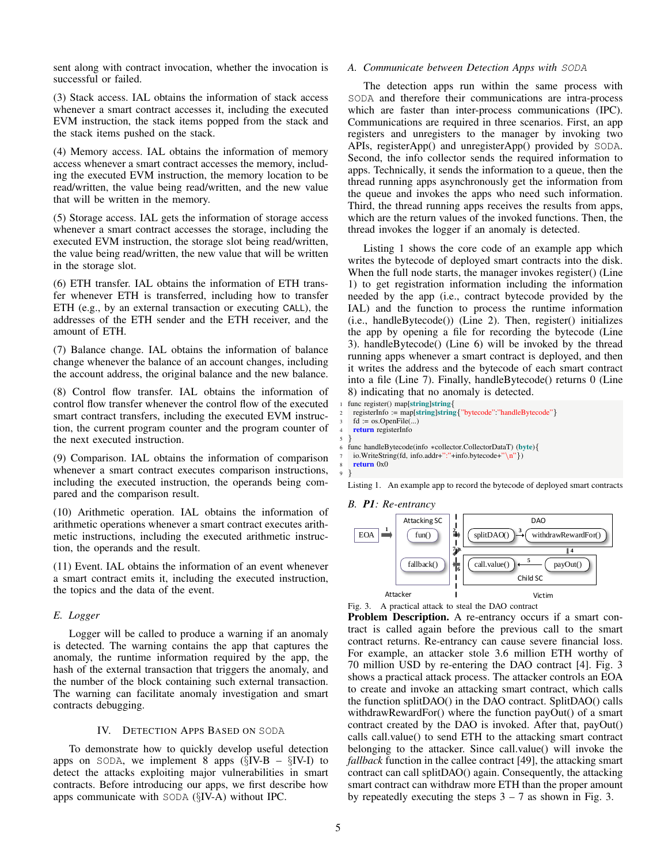sent along with contract invocation, whether the invocation is successful or failed.

(3) Stack access. IAL obtains the information of stack access whenever a smart contract accesses it, including the executed EVM instruction, the stack items popped from the stack and the stack items pushed on the stack.

(4) Memory access. IAL obtains the information of memory access whenever a smart contract accesses the memory, including the executed EVM instruction, the memory location to be read/written, the value being read/written, and the new value that will be written in the memory.

(5) Storage access. IAL gets the information of storage access whenever a smart contract accesses the storage, including the executed EVM instruction, the storage slot being read/written, the value being read/written, the new value that will be written in the storage slot.

(6) ETH transfer. IAL obtains the information of ETH transfer whenever ETH is transferred, including how to transfer ETH (e.g., by an external transaction or executing CALL), the addresses of the ETH sender and the ETH receiver, and the amount of ETH.

(7) Balance change. IAL obtains the information of balance change whenever the balance of an account changes, including the account address, the original balance and the new balance.

(8) Control flow transfer. IAL obtains the information of control flow transfer whenever the control flow of the executed smart contract transfers, including the executed EVM instruction, the current program counter and the program counter of the next executed instruction.

(9) Comparison. IAL obtains the information of comparison whenever a smart contract executes comparison instructions, including the executed instruction, the operands being compared and the comparison result.

(10) Arithmetic operation. IAL obtains the information of arithmetic operations whenever a smart contract executes arithmetic instructions, including the executed arithmetic instruction, the operands and the result.

(11) Event. IAL obtains the information of an event whenever a smart contract emits it, including the executed instruction, the topics and the data of the event.

## *E. Logger*

Logger will be called to produce a warning if an anomaly is detected. The warning contains the app that captures the anomaly, the runtime information required by the app, the hash of the external transaction that triggers the anomaly, and the number of the block containing such external transaction. The warning can facilitate anomaly investigation and smart contracts debugging.

## IV. DETECTION APPS BASED ON SODA

To demonstrate how to quickly develop useful detection apps on SODA, we implement 8 apps  $(\S$ IV-B –  $\S$ IV-I) to detect the attacks exploiting major vulnerabilities in smart contracts. Before introducing our apps, we first describe how apps communicate with SODA (§IV-A) without IPC.

## *A. Communicate between Detection Apps with* SODA

The detection apps run within the same process with SODA and therefore their communications are intra-process which are faster than inter-process communications (IPC). Communications are required in three scenarios. First, an app registers and unregisters to the manager by invoking two APIs, registerApp() and unregisterApp() provided by SODA. Second, the info collector sends the required information to apps. Technically, it sends the information to a queue, then the thread running apps asynchronously get the information from the queue and invokes the apps who need such information. Third, the thread running apps receives the results from apps, which are the return values of the invoked functions. Then, the thread invokes the logger if an anomaly is detected.

Listing 1 shows the core code of an example app which writes the bytecode of deployed smart contracts into the disk. When the full node starts, the manager invokes register() (Line 1) to get registration information including the information needed by the app (i.e., contract bytecode provided by the IAL) and the function to process the runtime information (i.e., handleBytecode()) (Line 2). Then, register() initializes the app by opening a file for recording the bytecode (Line 3). handleBytecode() (Line 6) will be invoked by the thread running apps whenever a smart contract is deployed, and then it writes the address and the bytecode of each smart contract into a file (Line 7). Finally, handleBytecode() returns 0 (Line 8) indicating that no anomaly is detected.

```
func register() map[string]string{
 2 registerInfo := map[string]string{"bytecode":"handleBytecode"}
  fd := os.OpenFile(...)
```

```
return registerInfo
```

```
5 }
```

```
6 func handleBytecode(info ∗collector.CollectorDataT) (byte){
```

```
io.WriteString(fd, info.addr+":"+info.bytecode+"\n"})
```

```
return 0x0
```
9 }

Listing 1. An example app to record the bytecode of deployed smart contracts

*B. P1: Re-entrancy*



Fig. 3. A practical attack to steal the DAO contract

Problem Description. A re-entrancy occurs if a smart contract is called again before the previous call to the smart contract returns. Re-entrancy can cause severe financial loss. For example, an attacker stole 3.6 million ETH worthy of 70 million USD by re-entering the DAO contract [4]. Fig. 3 shows a practical attack process. The attacker controls an EOA to create and invoke an attacking smart contract, which calls the function splitDAO() in the DAO contract. SplitDAO() calls withdrawRewardFor() where the function payOut() of a smart contract created by the DAO is invoked. After that, payOut() calls call.value() to send ETH to the attacking smart contract belonging to the attacker. Since call.value() will invoke the *fallback* function in the callee contract [49], the attacking smart contract can call splitDAO() again. Consequently, the attacking smart contract can withdraw more ETH than the proper amount by repeatedly executing the steps  $3 - 7$  as shown in Fig. 3.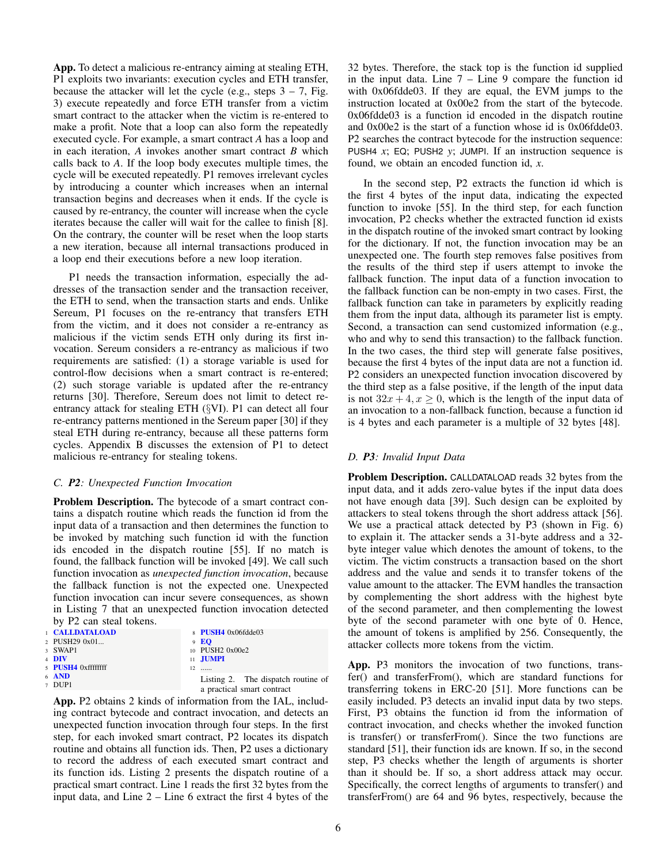App. To detect a malicious re-entrancy aiming at stealing ETH, P1 exploits two invariants: execution cycles and ETH transfer, because the attacker will let the cycle (e.g., steps  $3 - 7$ , Fig. 3) execute repeatedly and force ETH transfer from a victim smart contract to the attacker when the victim is re-entered to make a profit. Note that a loop can also form the repeatedly executed cycle. For example, a smart contract *A* has a loop and in each iteration, *A* invokes another smart contract *B* which calls back to *A*. If the loop body executes multiple times, the cycle will be executed repeatedly. P1 removes irrelevant cycles by introducing a counter which increases when an internal transaction begins and decreases when it ends. If the cycle is caused by re-entrancy, the counter will increase when the cycle iterates because the caller will wait for the callee to finish [8]. On the contrary, the counter will be reset when the loop starts a new iteration, because all internal transactions produced in a loop end their executions before a new loop iteration.

P1 needs the transaction information, especially the addresses of the transaction sender and the transaction receiver, the ETH to send, when the transaction starts and ends. Unlike Sereum, P1 focuses on the re-entrancy that transfers ETH from the victim, and it does not consider a re-entrancy as malicious if the victim sends ETH only during its first invocation. Sereum considers a re-entrancy as malicious if two requirements are satisfied: (1) a storage variable is used for control-flow decisions when a smart contract is re-entered; (2) such storage variable is updated after the re-entrancy returns [30]. Therefore, Sereum does not limit to detect reentrancy attack for stealing ETH (§VI). P1 can detect all four re-entrancy patterns mentioned in the Sereum paper [30] if they steal ETH during re-entrancy, because all these patterns form cycles. Appendix B discusses the extension of P1 to detect malicious re-entrancy for stealing tokens.

## *C. P2: Unexpected Function Invocation*

Problem Description. The bytecode of a smart contract contains a dispatch routine which reads the function id from the input data of a transaction and then determines the function to be invoked by matching such function id with the function ids encoded in the dispatch routine [55]. If no match is found, the fallback function will be invoked [49]. We call such function invocation as *unexpected function invocation*, because the fallback function is not the expected one. Unexpected function invocation can incur severe consequences, as shown in Listing 7 that an unexpected function invocation detected by P2 can steal tokens.

| <b>CALLDATALOAD</b> | $8$ PUSH4 0x06fdde03               |
|---------------------|------------------------------------|
| 2 PUSH29 0x01       | 9E                                 |
| 3 SWAP1             | 10 PUSH2 0x00e2                    |
| 4 DIV               | 11 JUMPI                           |
| 5 PUSH4 0xffffffff  | $12$                               |
| $6$ AND             | Listing 2. The dispatch routine of |
| 7 DUP1              |                                    |
|                     | a practical smart contract         |

App. P2 obtains 2 kinds of information from the IAL, including contract bytecode and contract invocation, and detects an unexpected function invocation through four steps. In the first step, for each invoked smart contract, P2 locates its dispatch routine and obtains all function ids. Then, P2 uses a dictionary to record the address of each executed smart contract and its function ids. Listing 2 presents the dispatch routine of a practical smart contract. Line 1 reads the first 32 bytes from the input data, and Line 2 – Line 6 extract the first 4 bytes of the 32 bytes. Therefore, the stack top is the function id supplied in the input data. Line  $7 -$  Line  $9$  compare the function id with 0x06fdde03. If they are equal, the EVM jumps to the instruction located at 0x00e2 from the start of the bytecode. 0x06fdde03 is a function id encoded in the dispatch routine and 0x00e2 is the start of a function whose id is 0x06fdde03. P2 searches the contract bytecode for the instruction sequence: PUSH4 *x*; EQ; PUSH2 *y*; JUMPI. If an instruction sequence is found, we obtain an encoded function id, *x*.

In the second step, P2 extracts the function id which is the first 4 bytes of the input data, indicating the expected function to invoke [55]. In the third step, for each function invocation, P2 checks whether the extracted function id exists in the dispatch routine of the invoked smart contract by looking for the dictionary. If not, the function invocation may be an unexpected one. The fourth step removes false positives from the results of the third step if users attempt to invoke the fallback function. The input data of a function invocation to the fallback function can be non-empty in two cases. First, the fallback function can take in parameters by explicitly reading them from the input data, although its parameter list is empty. Second, a transaction can send customized information (e.g., who and why to send this transaction) to the fallback function. In the two cases, the third step will generate false positives, because the first 4 bytes of the input data are not a function id. P2 considers an unexpected function invocation discovered by the third step as a false positive, if the length of the input data is not  $32x + 4$ ,  $x \ge 0$ , which is the length of the input data of an invocation to a non-fallback function, because a function id is 4 bytes and each parameter is a multiple of 32 bytes [48].

# *D. P3: Invalid Input Data*

Problem Description. CALLDATALOAD reads 32 bytes from the input data, and it adds zero-value bytes if the input data does not have enough data [39]. Such design can be exploited by attackers to steal tokens through the short address attack [56]. We use a practical attack detected by P3 (shown in Fig. 6) to explain it. The attacker sends a 31-byte address and a 32 byte integer value which denotes the amount of tokens, to the victim. The victim constructs a transaction based on the short address and the value and sends it to transfer tokens of the value amount to the attacker. The EVM handles the transaction by complementing the short address with the highest byte of the second parameter, and then complementing the lowest byte of the second parameter with one byte of 0. Hence, the amount of tokens is amplified by 256. Consequently, the attacker collects more tokens from the victim.

App. P3 monitors the invocation of two functions, transfer() and transferFrom(), which are standard functions for transferring tokens in ERC-20 [51]. More functions can be easily included. P3 detects an invalid input data by two steps. First, P3 obtains the function id from the information of contract invocation, and checks whether the invoked function is transfer() or transferFrom(). Since the two functions are standard [51], their function ids are known. If so, in the second step, P3 checks whether the length of arguments is shorter than it should be. If so, a short address attack may occur. Specifically, the correct lengths of arguments to transfer() and transferFrom() are 64 and 96 bytes, respectively, because the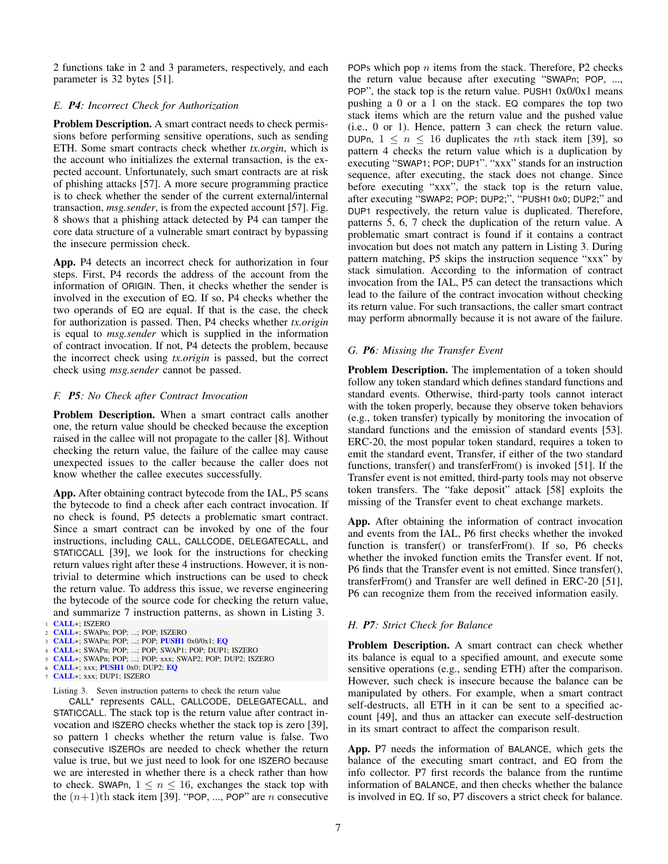2 functions take in 2 and 3 parameters, respectively, and each parameter is 32 bytes [51].

## *E. P4: Incorrect Check for Authorization*

Problem Description. A smart contract needs to check permissions before performing sensitive operations, such as sending ETH. Some smart contracts check whether *tx.orgin*, which is the account who initializes the external transaction, is the expected account. Unfortunately, such smart contracts are at risk of phishing attacks [57]. A more secure programming practice is to check whether the sender of the current external/internal transaction, *msg.sender*, is from the expected account [57]. Fig. 8 shows that a phishing attack detected by P4 can tamper the core data structure of a vulnerable smart contract by bypassing the insecure permission check.

App. P4 detects an incorrect check for authorization in four steps. First, P4 records the address of the account from the information of ORIGIN. Then, it checks whether the sender is involved in the execution of EQ. If so, P4 checks whether the two operands of EQ are equal. If that is the case, the check for authorization is passed. Then, P4 checks whether *tx.origin* is equal to *msg.sender* which is supplied in the information of contract invocation. If not, P4 detects the problem, because the incorrect check using *tx.origin* is passed, but the correct check using *msg.sender* cannot be passed.

## *F. P5: No Check after Contract Invocation*

Problem Description. When a smart contract calls another one, the return value should be checked because the exception raised in the callee will not propagate to the caller [8]. Without checking the return value, the failure of the callee may cause unexpected issues to the caller because the caller does not know whether the callee executes successfully.

App. After obtaining contract bytecode from the IAL, P5 scans the bytecode to find a check after each contract invocation. If no check is found, P5 detects a problematic smart contract. Since a smart contract can be invoked by one of the four instructions, including CALL, CALLCODE, DELEGATECALL, and STATICCALL [39], we look for the instructions for checking return values right after these 4 instructions. However, it is nontrivial to determine which instructions can be used to check the return value. To address this issue, we reverse engineering the bytecode of the source code for checking the return value, and summarize 7 instruction patterns, as shown in Listing 3. CALL∗; ISZERO

- <sup>4</sup> CALL∗; SWAPn; POP; ...; POP; SWAP1; POP; DUP1; ISZERO
- <sup>5</sup> CALL∗; SWAPn; POP; ...; POP; xxx; SWAP2; POP; DUP2; ISZERO
- CALL∗; xxx; PUSH1 0x0; DUP2; EQ CALL∗; xxx; DUP1; ISZERO

Listing 3. Seven instruction patterns to check the return value

CALL\* represents CALL, CALLCODE, DELEGATECALL, and STATICCALL. The stack top is the return value after contract invocation and ISZERO checks whether the stack top is zero [39], so pattern 1 checks whether the return value is false. Two consecutive ISZEROs are needed to check whether the return value is true, but we just need to look for one ISZERO because we are interested in whether there is a check rather than how to check. SWAPn,  $1 \le n \le 16$ , exchanges the stack top with the  $(n+1)$ th stack item [39]. "POP, ..., POP" are *n* consecutive POPs which pop  $n$  items from the stack. Therefore, P2 checks the return value because after executing "SWAPn; POP, ..., POP", the stack top is the return value. PUSH1  $0x0/0x1$  means pushing a 0 or a 1 on the stack. EQ compares the top two stack items which are the return value and the pushed value (i.e., 0 or 1). Hence, pattern 3 can check the return value. DUPn,  $1 \leq n \leq 16$  duplicates the *n*th stack item [39], so pattern 4 checks the return value which is a duplication by executing "SWAP1; POP; DUP1". "xxx" stands for an instruction sequence, after executing, the stack does not change. Since before executing "xxx", the stack top is the return value, after executing "SWAP2; POP; DUP2;", "PUSH1 0x0; DUP2;" and DUP1 respectively, the return value is duplicated. Therefore, patterns 5, 6, 7 check the duplication of the return value. A problematic smart contract is found if it contains a contract invocation but does not match any pattern in Listing 3. During pattern matching, P5 skips the instruction sequence "xxx" by stack simulation. According to the information of contract invocation from the IAL, P5 can detect the transactions which lead to the failure of the contract invocation without checking its return value. For such transactions, the caller smart contract may perform abnormally because it is not aware of the failure.

## *G. P6: Missing the Transfer Event*

Problem Description. The implementation of a token should follow any token standard which defines standard functions and standard events. Otherwise, third-party tools cannot interact with the token properly, because they observe token behaviors (e.g., token transfer) typically by monitoring the invocation of standard functions and the emission of standard events [53]. ERC-20, the most popular token standard, requires a token to emit the standard event, Transfer, if either of the two standard functions, transfer() and transferFrom() is invoked [51]. If the Transfer event is not emitted, third-party tools may not observe token transfers. The "fake deposit" attack [58] exploits the missing of the Transfer event to cheat exchange markets.

App. After obtaining the information of contract invocation and events from the IAL, P6 first checks whether the invoked function is transfer() or transferFrom(). If so, P6 checks whether the invoked function emits the Transfer event. If not, P6 finds that the Transfer event is not emitted. Since transfer(), transferFrom() and Transfer are well defined in ERC-20 [51], P6 can recognize them from the received information easily.

## *H. P7: Strict Check for Balance*

Problem Description. A smart contract can check whether its balance is equal to a specified amount, and execute some sensitive operations (e.g., sending ETH) after the comparison. However, such check is insecure because the balance can be manipulated by others. For example, when a smart contract self-destructs, all ETH in it can be sent to a specified account [49], and thus an attacker can execute self-destruction in its smart contract to affect the comparison result.

App. P7 needs the information of BALANCE, which gets the balance of the executing smart contract, and EQ from the info collector. P7 first records the balance from the runtime information of BALANCE, and then checks whether the balance is involved in EQ. If so, P7 discovers a strict check for balance.

<sup>2</sup> CALL∗; SWAPn; POP; ...; POP; ISZERO

CALL∗; SWAPn; POP; ...; POP; PUSH1 0x0/0x1; EQ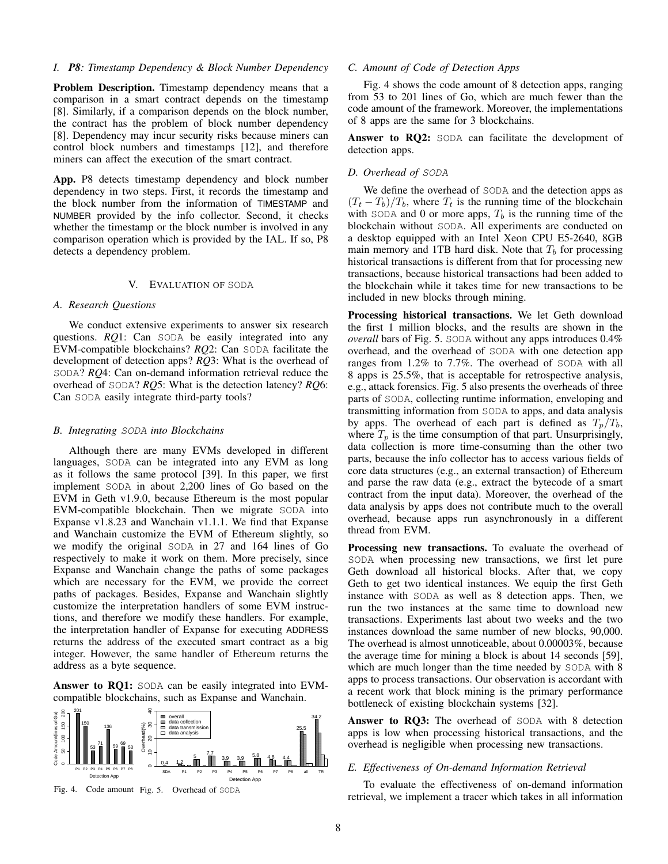#### *I. P8: Timestamp Dependency & Block Number Dependency*

Problem Description. Timestamp dependency means that a comparison in a smart contract depends on the timestamp [8]. Similarly, if a comparison depends on the block number, the contract has the problem of block number dependency [8]. Dependency may incur security risks because miners can control block numbers and timestamps [12], and therefore miners can affect the execution of the smart contract.

App. P8 detects timestamp dependency and block number dependency in two steps. First, it records the timestamp and the block number from the information of TIMESTAMP and NUMBER provided by the info collector. Second, it checks whether the timestamp or the block number is involved in any comparison operation which is provided by the IAL. If so, P8 detects a dependency problem.

#### V. EVALUATION OF SODA

## *A. Research Questions*

We conduct extensive experiments to answer six research questions. *RQ*1: Can SODA be easily integrated into any EVM-compatible blockchains? *RQ*2: Can SODA facilitate the development of detection apps? *RQ*3: What is the overhead of SODA? *RQ*4: Can on-demand information retrieval reduce the overhead of SODA? *RQ*5: What is the detection latency? *RQ*6: Can SODA easily integrate third-party tools?

## *B. Integrating* SODA *into Blockchains*

Although there are many EVMs developed in different languages, SODA can be integrated into any EVM as long as it follows the same protocol [39]. In this paper, we first implement SODA in about 2,200 lines of Go based on the EVM in Geth v1.9.0, because Ethereum is the most popular EVM-compatible blockchain. Then we migrate SODA into Expanse v1.8.23 and Wanchain v1.1.1. We find that Expanse and Wanchain customize the EVM of Ethereum slightly, so we modify the original SODA in 27 and 164 lines of Go respectively to make it work on them. More precisely, since Expanse and Wanchain change the paths of some packages which are necessary for the EVM, we provide the correct paths of packages. Besides, Expanse and Wanchain slightly customize the interpretation handlers of some EVM instructions, and therefore we modify these handlers. For example, the interpretation handler of Expanse for executing ADDRESS returns the address of the executed smart contract as a big integer. However, the same handler of Ethereum returns the address as a byte sequence.

Answer to RQ1: SODA can be easily integrated into EVMcompatible blockchains, such as Expanse and Wanchain.



#### *C. Amount of Code of Detection Apps*

Fig. 4 shows the code amount of 8 detection apps, ranging from 53 to 201 lines of Go, which are much fewer than the code amount of the framework. Moreover, the implementations of 8 apps are the same for 3 blockchains.

Answer to RQ2: SODA can facilitate the development of detection apps.

## *D. Overhead of* SODA

We define the overhead of SODA and the detection apps as  $(T_t - T_b)/T_b$ , where  $T_t$  is the running time of the blockchain with SODA and 0 or more apps,  $T_b$  is the running time of the blockchain without SODA. All experiments are conducted on a desktop equipped with an Intel Xeon CPU E5-2640, 8GB main memory and 1TB hard disk. Note that  $T<sub>b</sub>$  for processing historical transactions is different from that for processing new transactions, because historical transactions had been added to the blockchain while it takes time for new transactions to be included in new blocks through mining.

Processing historical transactions. We let Geth download the first 1 million blocks, and the results are shown in the *overall* bars of Fig. 5. SODA without any apps introduces 0.4% overhead, and the overhead of SODA with one detection app ranges from 1.2% to 7.7%. The overhead of SODA with all 8 apps is 25.5%, that is acceptable for retrospective analysis, e.g., attack forensics. Fig. 5 also presents the overheads of three parts of SODA, collecting runtime information, enveloping and transmitting information from SODA to apps, and data analysis by apps. The overhead of each part is defined as  $T_p/T_b$ , where  $T_p$  is the time consumption of that part. Unsurprisingly, data collection is more time-consuming than the other two parts, because the info collector has to access various fields of core data structures (e.g., an external transaction) of Ethereum and parse the raw data (e.g., extract the bytecode of a smart contract from the input data). Moreover, the overhead of the data analysis by apps does not contribute much to the overall overhead, because apps run asynchronously in a different thread from EVM.

Processing new transactions. To evaluate the overhead of SODA when processing new transactions, we first let pure Geth download all historical blocks. After that, we copy Geth to get two identical instances. We equip the first Geth instance with SODA as well as 8 detection apps. Then, we run the two instances at the same time to download new transactions. Experiments last about two weeks and the two instances download the same number of new blocks, 90,000. The overhead is almost unnoticeable, about 0.00003%, because the average time for mining a block is about 14 seconds [59], which are much longer than the time needed by SODA with 8 apps to process transactions. Our observation is accordant with a recent work that block mining is the primary performance bottleneck of existing blockchain systems [32].

Answer to RQ3: The overhead of SODA with 8 detection apps is low when processing historical transactions, and the overhead is negligible when processing new transactions.

## *E. Effectiveness of On-demand Information Retrieval*

To evaluate the effectiveness of on-demand information retrieval, we implement a tracer which takes in all information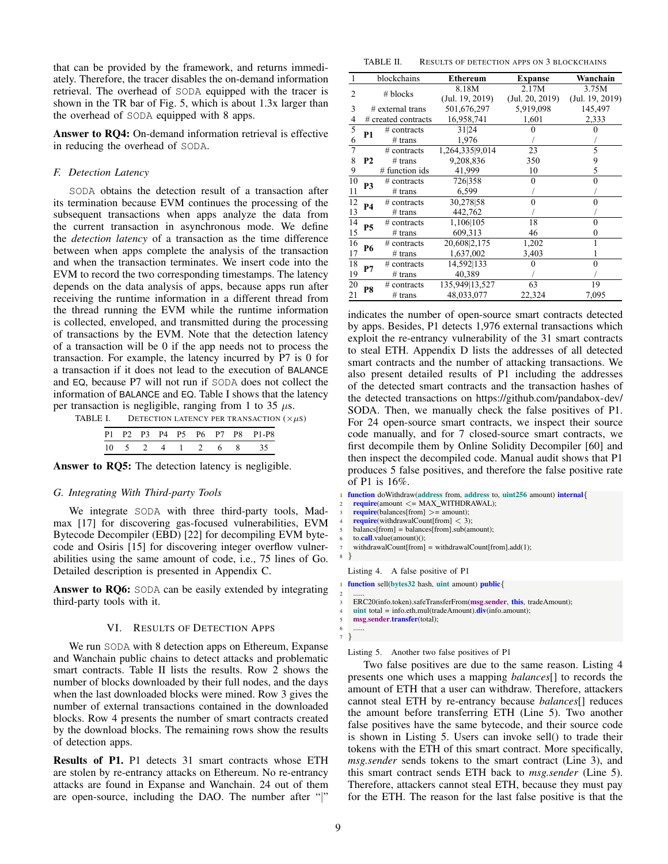that can be provided by the framework, and returns immediately. Therefore, the tracer disables the on-demand information retrieval. The overhead of SODA equipped with the tracer is shown in the TR bar of Fig. 5, which is about 1.3x larger than the overhead of SODA equipped with 8 apps.

Answer to RQ4: On-demand information retrieval is effective in reducing the overhead of SODA.

# *F. Detection Latency*

SODA obtains the detection result of a transaction after its termination because EVM continues the processing of the subsequent transactions when apps analyze the data from the current transaction in asynchronous mode. We define the *detection latency* of a transaction as the time difference between when apps complete the analysis of the transaction and when the transaction terminates. We insert code into the EVM to record the two corresponding timestamps. The latency depends on the data analysis of apps, because apps run after depends on the data analysis of apps, because apps run after receiving the runtime information in a different thread from the thread running the EVM while the runtime information is collected, enveloped, and transmitted during the processing of transactions by the EVM. Note that the detection latency of a transaction will be 0 if the app needs not to process the transaction. For example, the latency incurred by  $P7$  is 0 for a transaction if it does not lead to the execution of BALANCE and EQ, because P7 will not run if SODA does not collect the information of BALANCE and EQ. Table I shows that the latency per transaction is negligible, ranging from 1 to 35  $\mu$ s. or a transaction will be 0 if the app necess from process the

|  |  |  |  | P1 P2 P3 P4 P5 P6 P7 P8 P1-P8 |
|--|--|--|--|-------------------------------|
|  |  |  |  | 10 5 2 4 1 2 6 8 35           |

Answer to RQ5: The detection latency is negligible.

## *G. Integrating With Third-party Tools*

We integrate SODA with three third-party tools, Madmax [17] for discovering gas-focused vulnerabilities, EVM Bytecode Decompiler (EBD) [22] for decompiling EVM bytecode and Osiris [15] for discovering integer overflow vulnerabilities using the same amount of code, i.e., 75 lines of Go. Detailed description is presented in Appendix C.

Answer to RQ6: SODA can be easily extended by integrating third-party tools with it.

## VI. RESULTS OF DETECTION APPS

We run SODA with 8 detection apps on Ethereum, Expanse and Wanchain public chains to detect attacks and problematic smart contracts. Table II lists the results. Row 2 shows the number of blocks downloaded by their full nodes, and the days when the last downloaded blocks were mined. Row 3 gives the number of external transactions contained in the downloaded blocks. Row 4 presents the number of smart contracts created by the download blocks. The remaining rows show the results of detection apps.

Results of P1. P1 detects 31 smart contracts whose ETH are stolen by re-entrancy attacks on Ethereum. No re-entrancy attacks are found in Expanse and Wanchain. 24 out of them are open-source, including the DAO. The number after "|"

TABLE II. RESULTS OF DETECTION APPS ON 3 BLOCKCHAINS

|                |                     | blockchains      | <b>Ethereum</b> | <b>Expanse</b>  | Wanchain        |
|----------------|---------------------|------------------|-----------------|-----------------|-----------------|
| 2              | # blocks            |                  | 8.18M           | 2.17M           | 3.75M           |
|                |                     |                  | (Jul. 19, 2019) | (Jul. 20, 2019) | (Jul. 19, 2019) |
| 3              | $#$ external trans  |                  | 501,676,297     | 5,919,098       | 145,497         |
| 4              | # created contracts |                  | 16,958,741      | 1,601           | 2,333           |
| $\overline{5}$ | P1                  | $#$ contracts    | 31 24           |                 |                 |
| 6              |                     | $#$ trans        | 1,976           |                 |                 |
| 7              |                     | $#$ contracts    | 1,264,335 9,014 | 23              | 5               |
| 8              | <b>P2</b>           | $#$ trans        | 9,208,836       | 350             | 9               |
| 9              |                     | $#$ function ids | 41,999          | 10              | 5               |
| 10             | P3                  | $#$ contracts    | 726 358         | 0               | 0               |
| 11             |                     | $#$ trans        | 6,599           |                 |                 |
| 12             | <b>P4</b>           | $#$ contracts    | 30,278 58       | 0               |                 |
| 13             |                     | $#$ trans        | 442,762         |                 |                 |
| 14             | P5                  | $#$ contracts    | 1,106 105       | 18              |                 |
| 15             |                     | $#$ trans        | 609,313         | 46              |                 |
| 16             | P6                  | $#$ contracts    | 20,608 2,175    | 1,202           |                 |
| 17             |                     | $#$ trans        | 1,637,002       | 3,403           |                 |
| 18             | P7                  | $#$ contracts    | 14,592 133      |                 |                 |
| 19             |                     | $#$ trans        | 40,389          |                 |                 |
| 20             | P8                  | # contracts      | 135,949 13,527  | 63              | 19              |
| 21             |                     | $#$ trans        | 48,033,077      | 22,324          | 7,095           |

indicates the number of open-source smart contracts detected by apps. Besides, P1 detects 1,976 external transactions which exploit the re-entrancy vulnerability of the 31 smart contracts to steal ETH. Appendix D lists the addresses of all detected smart contracts and the number of attacking transactions. We also present detailed results of P1 including the addresses of the detected smart contracts and the transaction hashes of the detected transactions on https://github.com/pandabox-dev/ SODA. Then, we manually check the false positives of P1. For 24 open-source smart contracts, we inspect their source code manually, and for 7 closed-source smart contracts, we first decompile them by Online Solidity Decompiler [60] and then inspect the decompiled code. Manual audit shows that P1 produces 5 false positives, and therefore the false positive rate of P1 is 16%.

```
function doWithdraw(address from, address to, uint256 amount) internal{
    \text{require}(\text{amount} \leq MAX\_WITHDRAWAL);\text{require}(\text{balance}[\text{from}] > = \text{amount});\text{require}(\text{with} \text{drawalCount}[\text{from}] < 3);balancs[from] = balances[from].sub(amount);
    to.call.value(amount)();
    7 withdrawalCount[from] = withdrawalCount[from].add(1);
8 }
  Listing 4. A false positive of P1
  function sell(bytes32 hash, uint amount) public\{2 ......
    ERC20(info.token).safeTransferFrom(msg.sender, this, tradeAmount);
    unit total = info.eth.mul(traindeAmount).div(info.annotation);5 msg.sender.transfer(total);
6 ......
  7 }
```
Listing 5. Another two false positives of P1

Two false positives are due to the same reason. Listing 4 presents one which uses a mapping *balances*[] to records the amount of ETH that a user can withdraw. Therefore, attackers cannot steal ETH by re-entrancy because *balances*[] reduces the amount before transferring ETH (Line 5). Two another false positives have the same bytecode, and their source code is shown in Listing 5. Users can invoke sell() to trade their tokens with the ETH of this smart contract. More specifically, *msg.sender* sends tokens to the smart contract (Line 3), and this smart contract sends ETH back to *msg.sender* (Line 5). Therefore, attackers cannot steal ETH, because they must pay for the ETH. The reason for the last false positive is that the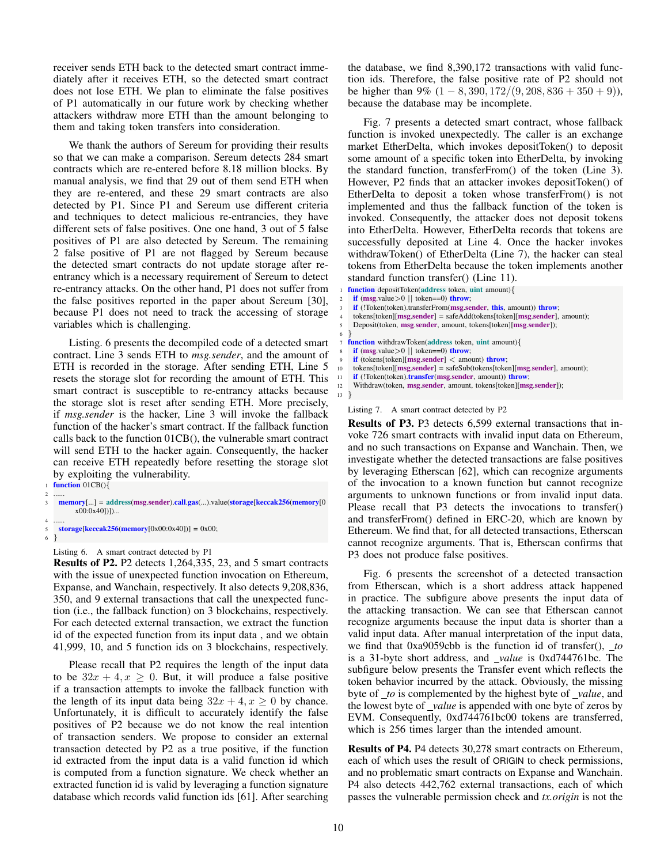receiver sends ETH back to the detected smart contract immediately after it receives ETH, so the detected smart contract does not lose ETH. We plan to eliminate the false positives of P1 automatically in our future work by checking whether attackers withdraw more ETH than the amount belonging to them and taking token transfers into consideration.

We thank the authors of Sereum for providing their results so that we can make a comparison. Sereum detects 284 smart contracts which are re-entered before 8.18 million blocks. By manual analysis, we find that 29 out of them send ETH when they are re-entered, and these 29 smart contracts are also detected by P1. Since P1 and Sereum use different criteria and techniques to detect malicious re-entrancies, they have different sets of false positives. One one hand, 3 out of 5 false positives of P1 are also detected by Sereum. The remaining 2 false positive of P1 are not flagged by Sereum because the detected smart contracts do not update storage after reentrancy which is a necessary requirement of Sereum to detect re-entrancy attacks. On the other hand, P1 does not suffer from the false positives reported in the paper about Sereum [30], because P1 does not need to track the accessing of storage variables which is challenging.

Listing. 6 presents the decompiled code of a detected smart contract. Line 3 sends ETH to *msg.sender*, and the amount of ETH is recorded in the storage. After sending ETH, Line 5 resets the storage slot for recording the amount of ETH. This smart contract is susceptible to re-entrancy attacks because the storage slot is reset after sending ETH. More precisely, if *msg.sender* is the hacker, Line 3 will invoke the fallback function of the hacker's smart contract. If the fallback function calls back to the function 01CB(), the vulnerable smart contract will send ETH to the hacker again. Consequently, the hacker can receive ETH repeatedly before resetting the storage slot by exploiting the vulnerability.

function  $01CB()$ 

 $\mathcal{E}$ 

- 2 ...... memory[...] = address(msg.sender).call.gas(...).value(storage[keccak256(memory[0] x00:0x40])])...
- 4 ...... 5 storage[keccak256(memory[0x00:0x40])] = 0x00;<br>6 }

Listing 6. A smart contract detected by P1

Results of P2. P2 detects 1,264,335, 23, and 5 smart contracts with the issue of unexpected function invocation on Ethereum, Expanse, and Wanchain, respectively. It also detects 9,208,836, 350, and 9 external transactions that call the unexpected function (i.e., the fallback function) on 3 blockchains, respectively. For each detected external transaction, we extract the function id of the expected function from its input data , and we obtain 41,999, 10, and 5 function ids on 3 blockchains, respectively.

Please recall that P2 requires the length of the input data to be  $32x + 4$ ,  $x \ge 0$ . But, it will produce a false positive if a transaction attempts to invoke the fallback function with the length of its input data being  $32x + 4$ ,  $x \ge 0$  by chance. Unfortunately, it is difficult to accurately identify the false positives of P2 because we do not know the real intention of transaction senders. We propose to consider an external transaction detected by P2 as a true positive, if the function id extracted from the input data is a valid function id which is computed from a function signature. We check whether an extracted function id is valid by leveraging a function signature database which records valid function ids [61]. After searching the database, we find 8,390,172 transactions with valid function ids. Therefore, the false positive rate of P2 should not be higher than 9%  $(1 - 8, 390, 172/(9, 208, 836 + 350 + 9))$ , because the database may be incomplete.

Fig. 7 presents a detected smart contract, whose fallback function is invoked unexpectedly. The caller is an exchange market EtherDelta, which invokes depositToken() to deposit some amount of a specific token into EtherDelta, by invoking the standard function, transferFrom() of the token (Line 3). However, P2 finds that an attacker invokes depositToken() of EtherDelta to deposit a token whose transferFrom() is not implemented and thus the fallback function of the token is invoked. Consequently, the attacker does not deposit tokens into EtherDelta. However, EtherDelta records that tokens are successfully deposited at Line 4. Once the hacker invokes withdrawToken() of EtherDelta (Line 7), the hacker can steal tokens from EtherDelta because the token implements another standard function transfer() (Line 11).

function depositToken(address token, uint amount){ if  $(msg.value>0 || token==0)$  throw; if (!Token(token).transferFrom(msg.sender, this, amount)) throw;  $token[$ [token][msg.sender] = safeAdd(tokens[token][msg.sender], amount); Deposit(token, msg.sender, amount, tokens[token][msg.sender]); 6 } function withdrawToken(address token, uint amount){ if  $(msg.value>0$  || token==0) throw; if (tokens[token][msg.sender] < amount) throw; tokens[token][msg.sender] = safeSub(tokens[token][msg.sender], amount); if (!Token(token).transfer(msg.sender, amount)) throw; Withdraw(token, msg.sender, amount, tokens[token][msg.sender]);  $\mathcal{E}$ 

Listing 7. A smart contract detected by P2

Results of P3. P3 detects 6,599 external transactions that invoke 726 smart contracts with invalid input data on Ethereum, and no such transactions on Expanse and Wanchain. Then, we investigate whether the detected transactions are false positives by leveraging Etherscan [62], which can recognize arguments of the invocation to a known function but cannot recognize arguments to unknown functions or from invalid input data. Please recall that P3 detects the invocations to transfer() and transferFrom() defined in ERC-20, which are known by Ethereum. We find that, for all detected transactions, Etherscan cannot recognize arguments. That is, Etherscan confirms that P3 does not produce false positives.

Fig. 6 presents the screenshot of a detected transaction from Etherscan, which is a short address attack happened in practice. The subfigure above presents the input data of the attacking transaction. We can see that Etherscan cannot recognize arguments because the input data is shorter than a valid input data. After manual interpretation of the input data, we find that 0xa9059cbb is the function id of transfer(), *to* is a 31-byte short address, and *value* is 0xd744761bc. The subfigure below presents the Transfer event which reflects the token behavior incurred by the attack. Obviously, the missing byte of *to* is complemented by the highest byte of *value*, and the lowest byte of *value* is appended with one byte of zeros by EVM. Consequently, 0xd744761bc00 tokens are transferred, which is 256 times larger than the intended amount.

Results of P4. P4 detects 30,278 smart contracts on Ethereum, each of which uses the result of ORIGIN to check permissions, and no problematic smart contracts on Expanse and Wanchain. P4 also detects 442,762 external transactions, each of which passes the vulnerable permission check and *tx.origin* is not the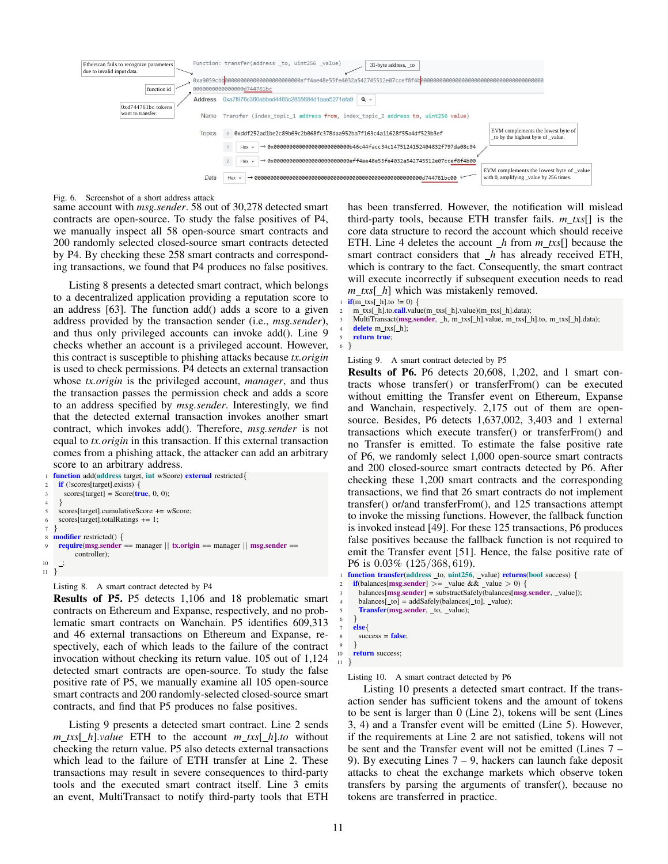

```
Fig. 6. Screenshot of a short address attack
```
same account with *msg.sender*. 58 out of 30,278 detected smart contracts are open-source. To study the false positives of P4, we manually inspect all 58 open-source smart contracts and 200 randomly selected closed-source smart contracts detected by P4. By checking these 258 smart contracts and corresponding transactions, we found that P4 produces no false positives.

Listing 8 presents a detected smart contract, which belongs to a decentralized application providing a reputation score to an address [63]. The function add() adds a score to a given address provided by the transaction sender (i.e., *msg.sender*), and thus only privileged accounts can invoke add(). Line 9 checks whether an account is a privileged account. However, this contract is susceptible to phishing attacks because *tx.origin* is used to check permissions. P4 detects an external transaction whose *tx.origin* is the privileged account, *manager*, and thus the transaction passes the permission check and adds a score to an address specified by *msg.sender*. Interestingly, we find that the detected external transaction invokes another smart contract, which invokes add(). Therefore, *msg.sender* is not equal to *tx.origin* in this transaction. If this external transaction comes from a phishing attack, the attacker can add an arbitrary score to an arbitrary address.

```
function add(address target, int wScore) external restricted{
     if (!scores[target].exists) {
       \text{scores}[target] = \text{Score}(\text{true}, 0, 0);4 }
     5 scores[target].cumulativeScore += wScore;
6 scores[target].totalRatings += 1;
\overline{7}8 modifier restricted() {
9 require(msg.sender == manager || tx.origin == manager || msg.sender ==
           controller);
10 ;
11 }
```
Listing 8. A smart contract detected by P4

Results of P5. P5 detects 1,106 and 18 problematic smart contracts on Ethereum and Expanse, respectively, and no problematic smart contracts on Wanchain. P5 identifies 609,313 and 46 external transactions on Ethereum and Expanse, respectively, each of which leads to the failure of the contract invocation without checking its return value. 105 out of 1,124 detected smart contracts are open-source. To study the false positive rate of P5, we manually examine all 105 open-source smart contracts and 200 randomly-selected closed-source smart contracts, and find that P5 produces no false positives.

Listing 9 presents a detected smart contract. Line 2 sends *m txs*[ *h*].*value* ETH to the account *m txs*[ *h*].*to* without checking the return value. P5 also detects external transactions which lead to the failure of ETH transfer at Line 2. These transactions may result in severe consequences to third-party tools and the executed smart contract itself. Line 3 emits an event, MultiTransact to notify third-party tools that ETH

has been transferred. However, the notification will mislead third-party tools, because ETH transfer fails. *m txs*[] is the core data structure to record the account which should receive ETH. Line 4 deletes the account *h* from *m txs*[] because the smart contract considers that *h* has already received ETH, which is contrary to the fact. Consequently, the smart contract will execute incorrectly if subsequent execution needs to read *m\_txs*[*\_h*] which was mistakenly removed.

 $if(m_t x s[-h].to != 0)$  {

m\_txs[\_h].to.call.value(m\_txs[\_h].value)(m\_txs[\_h].data);

MultiTransact(msg.sender, \_h, m\_txs[\_h].value, m\_txs[\_h].to, m\_txs[\_h].data);

```
delete m_txs[_h];
```
return true; 6 }

Listing 9. A smart contract detected by P5

Results of P6. P6 detects 20,608, 1,202, and 1 smart contracts whose transfer() or transferFrom() can be executed without emitting the Transfer event on Ethereum, Expanse and Wanchain, respectively. 2,175 out of them are opensource. Besides, P6 detects 1,637,002, 3,403 and 1 external transactions which execute transfer() or transferFrom() and no Transfer is emitted. To estimate the false positive rate of P6, we randomly select 1,000 open-source smart contracts and 200 closed-source smart contracts detected by P6. After checking these 1,200 smart contracts and the corresponding transactions, we find that 26 smart contracts do not implement transfer() or/and transferFrom(), and 125 transactions attempt to invoke the missing functions. However, the fallback function is invoked instead [49]. For these 125 transactions, P6 produces false positives because the fallback function is not required to emit the Transfer event [51]. Hence, the false positive rate of P6 is 0.03% (125/368, 619).

```
function transfer(address _to, uint256, _value) returns(bool success) {
   if(balances[msg.sender] >= _value & & _value > 0)balances[msg.sender] =substractSafely(balances[msg.sender, _value]);
     balances[ to] = addSafely(balances[_to], _value);
     Transfer(msg.sender, _to, _value);
6 }
   7 else{
     success = false;9 }
   return success:
```
Listing 10. A smart contract detected by P6

Listing 10 presents a detected smart contract. If the transaction sender has sufficient tokens and the amount of tokens to be sent is larger than 0 (Line 2), tokens will be sent (Lines 3, 4) and a Transfer event will be emitted (Line 5). However, if the requirements at Line 2 are not satisfied, tokens will not be sent and the Transfer event will not be emitted (Lines 7 – 9). By executing Lines  $7 - 9$ , hackers can launch fake deposit attacks to cheat the exchange markets which observe token transfers by parsing the arguments of transfer(), because no tokens are transferred in practice.

11 }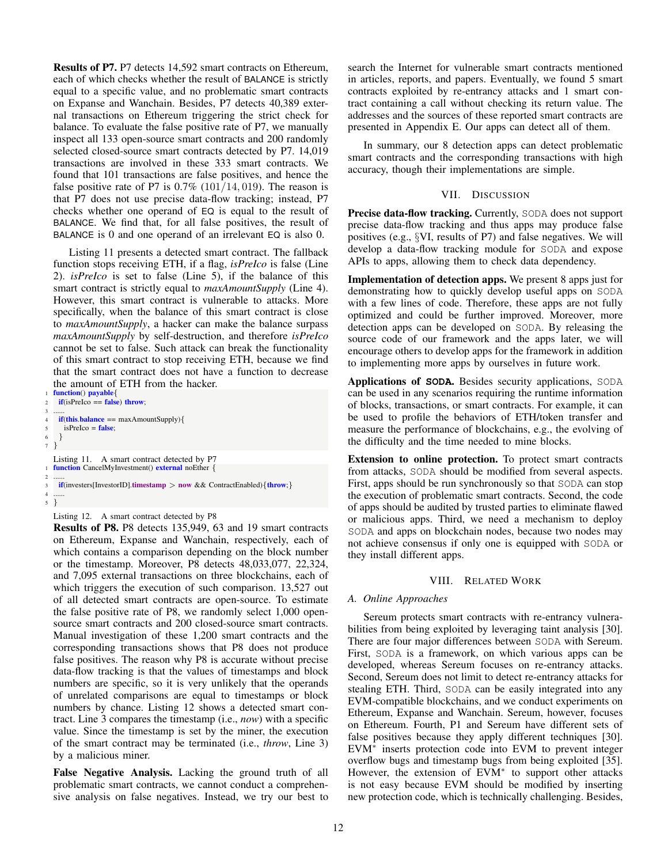Results of P7. P7 detects 14,592 smart contracts on Ethereum, each of which checks whether the result of BALANCE is strictly equal to a specific value, and no problematic smart contracts on Expanse and Wanchain. Besides, P7 detects 40,389 external transactions on Ethereum triggering the strict check for balance. To evaluate the false positive rate of P7, we manually inspect all 133 open-source smart contracts and 200 randomly selected closed-source smart contracts detected by P7. 14,019 transactions are involved in these 333 smart contracts. We found that 101 transactions are false positives, and hence the false positive rate of P7 is  $0.7\%$  (101/14, 019). The reason is that P7 does not use precise data-flow tracking; instead, P7 checks whether one operand of EQ is equal to the result of BALANCE. We find that, for all false positives, the result of BALANCE is 0 and one operand of an irrelevant EQ is also 0.

Listing 11 presents a detected smart contract. The fallback function stops receiving ETH, if a flag, *isPreIco* is false (Line 2). *isPreIco* is set to false (Line 5), if the balance of this smart contract is strictly equal to *maxAmountSupply* (Line 4). However, this smart contract is vulnerable to attacks. More specifically, when the balance of this smart contract is close to *maxAmountSupply*, a hacker can make the balance surpass *maxAmountSupply* by self-destruction, and therefore *isPreIco* cannot be set to false. Such attack can break the functionality of this smart contract to stop receiving ETH, because we find that the smart contract does not have a function to decrease the amount of ETH from the hacker.

```
function() payable{
   if(isPreIco == false) throw;
3 ......
    if(this.balance == maxAmountSupply){
     isPreIco = false;\}7 }
  Listing 11. A smart contract detected by P7
  function CancelMyInvestment() external noEther {
2 ......
    if(investers[InvestorID].timestamp > now && ContractEnabled){throw;}
\frac{4}{5}5 }
```
## Listing 12. A smart contract detected by P8

Results of P8. P8 detects 135,949, 63 and 19 smart contracts on Ethereum, Expanse and Wanchain, respectively, each of which contains a comparison depending on the block number or the timestamp. Moreover, P8 detects 48,033,077, 22,324, and 7,095 external transactions on three blockchains, each of which triggers the execution of such comparison. 13,527 out of all detected smart contracts are open-source. To estimate the false positive rate of P8, we randomly select 1,000 opensource smart contracts and 200 closed-source smart contracts. Manual investigation of these 1,200 smart contracts and the corresponding transactions shows that P8 does not produce false positives. The reason why P8 is accurate without precise data-flow tracking is that the values of timestamps and block numbers are specific, so it is very unlikely that the operands of unrelated comparisons are equal to timestamps or block numbers by chance. Listing 12 shows a detected smart contract. Line 3 compares the timestamp (i.e., *now*) with a specific value. Since the timestamp is set by the miner, the execution of the smart contract may be terminated (i.e., *throw*, Line 3) by a malicious miner.

False Negative Analysis. Lacking the ground truth of all problematic smart contracts, we cannot conduct a comprehensive analysis on false negatives. Instead, we try our best to search the Internet for vulnerable smart contracts mentioned in articles, reports, and papers. Eventually, we found 5 smart contracts exploited by re-entrancy attacks and 1 smart contract containing a call without checking its return value. The addresses and the sources of these reported smart contracts are presented in Appendix E. Our apps can detect all of them.

In summary, our 8 detection apps can detect problematic smart contracts and the corresponding transactions with high accuracy, though their implementations are simple.

## VII. DISCUSSION

Precise data-flow tracking. Currently, SODA does not support precise data-flow tracking and thus apps may produce false positives (e.g., §VI, results of P7) and false negatives. We will develop a data-flow tracking module for SODA and expose APIs to apps, allowing them to check data dependency.

Implementation of detection apps. We present 8 apps just for demonstrating how to quickly develop useful apps on SODA with a few lines of code. Therefore, these apps are not fully optimized and could be further improved. Moreover, more detection apps can be developed on SODA. By releasing the source code of our framework and the apps later, we will encourage others to develop apps for the framework in addition to implementing more apps by ourselves in future work.

Applications of **SODA**. Besides security applications, SODA can be used in any scenarios requiring the runtime information of blocks, transactions, or smart contracts. For example, it can be used to profile the behaviors of ETH/token transfer and measure the performance of blockchains, e.g., the evolving of the difficulty and the time needed to mine blocks.

Extension to online protection. To protect smart contracts from attacks, SODA should be modified from several aspects. First, apps should be run synchronously so that SODA can stop the execution of problematic smart contracts. Second, the code of apps should be audited by trusted parties to eliminate flawed or malicious apps. Third, we need a mechanism to deploy SODA and apps on blockchain nodes, because two nodes may not achieve consensus if only one is equipped with SODA or they install different apps.

## VIII. RELATED WORK

# *A. Online Approaches*

Sereum protects smart contracts with re-entrancy vulnerabilities from being exploited by leveraging taint analysis [30]. There are four major differences between SODA with Sereum. First, SODA is a framework, on which various apps can be developed, whereas Sereum focuses on re-entrancy attacks. Second, Sereum does not limit to detect re-entrancy attacks for stealing ETH. Third, SODA can be easily integrated into any EVM-compatible blockchains, and we conduct experiments on Ethereum, Expanse and Wanchain. Sereum, however, focuses on Ethereum. Fourth, P1 and Sereum have different sets of false positives because they apply different techniques [30]. EVM<sup>∗</sup> inserts protection code into EVM to prevent integer overflow bugs and timestamp bugs from being exploited [35]. However, the extension of EVM<sup>∗</sup> to support other attacks is not easy because EVM should be modified by inserting new protection code, which is technically challenging. Besides,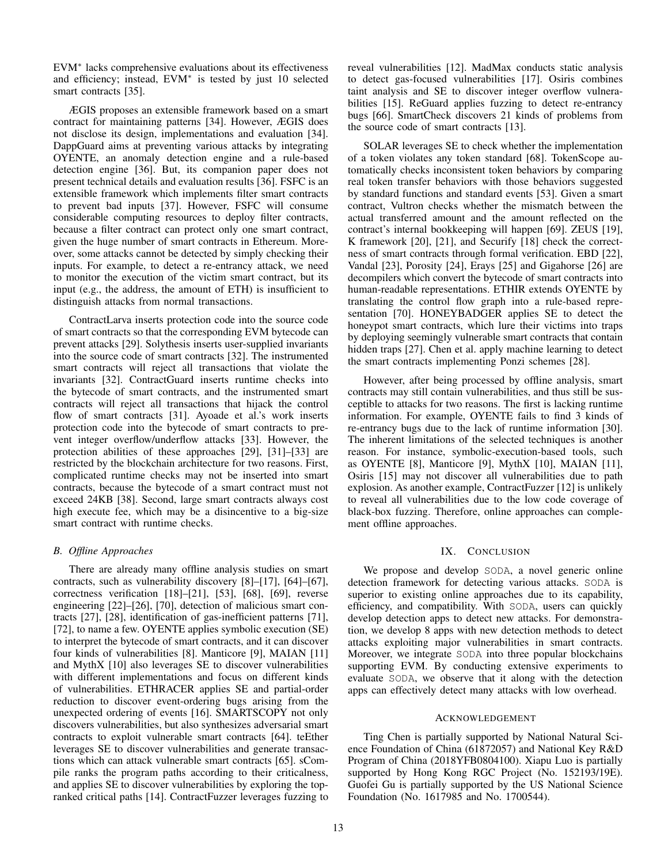EVM<sup>∗</sup> lacks comprehensive evaluations about its effectiveness and efficiency; instead, EVM<sup>∗</sup> is tested by just 10 selected smart contracts [35].

ÆGIS proposes an extensible framework based on a smart contract for maintaining patterns [34]. However, ÆGIS does not disclose its design, implementations and evaluation [34]. DappGuard aims at preventing various attacks by integrating OYENTE, an anomaly detection engine and a rule-based detection engine [36]. But, its companion paper does not present technical details and evaluation results [36]. FSFC is an extensible framework which implements filter smart contracts to prevent bad inputs [37]. However, FSFC will consume considerable computing resources to deploy filter contracts, because a filter contract can protect only one smart contract, given the huge number of smart contracts in Ethereum. Moreover, some attacks cannot be detected by simply checking their inputs. For example, to detect a re-entrancy attack, we need to monitor the execution of the victim smart contract, but its input (e.g., the address, the amount of ETH) is insufficient to distinguish attacks from normal transactions.

ContractLarva inserts protection code into the source code of smart contracts so that the corresponding EVM bytecode can prevent attacks [29]. Solythesis inserts user-supplied invariants into the source code of smart contracts [32]. The instrumented smart contracts will reject all transactions that violate the invariants [32]. ContractGuard inserts runtime checks into the bytecode of smart contracts, and the instrumented smart contracts will reject all transactions that hijack the control flow of smart contracts [31]. Ayoade et al.'s work inserts protection code into the bytecode of smart contracts to prevent integer overflow/underflow attacks [33]. However, the protection abilities of these approaches [29], [31]–[33] are restricted by the blockchain architecture for two reasons. First, complicated runtime checks may not be inserted into smart contracts, because the bytecode of a smart contract must not exceed 24KB [38]. Second, large smart contracts always cost high execute fee, which may be a disincentive to a big-size smart contract with runtime checks.

## *B. Offline Approaches*

There are already many offline analysis studies on smart contracts, such as vulnerability discovery [8]–[17], [64]–[67], correctness verification [18]–[21], [53], [68], [69], reverse engineering [22]–[26], [70], detection of malicious smart contracts [27], [28], identification of gas-inefficient patterns [71], [72], to name a few. OYENTE applies symbolic execution (SE) to interpret the bytecode of smart contracts, and it can discover four kinds of vulnerabilities [8]. Manticore [9], MAIAN [11] and MythX [10] also leverages SE to discover vulnerabilities with different implementations and focus on different kinds of vulnerabilities. ETHRACER applies SE and partial-order reduction to discover event-ordering bugs arising from the unexpected ordering of events [16]. SMARTSCOPY not only discovers vulnerabilities, but also synthesizes adversarial smart contracts to exploit vulnerable smart contracts [64]. teEther leverages SE to discover vulnerabilities and generate transactions which can attack vulnerable smart contracts [65]. sCompile ranks the program paths according to their criticalness, and applies SE to discover vulnerabilities by exploring the topranked critical paths [14]. ContractFuzzer leverages fuzzing to reveal vulnerabilities [12]. MadMax conducts static analysis to detect gas-focused vulnerabilities [17]. Osiris combines taint analysis and SE to discover integer overflow vulnerabilities [15]. ReGuard applies fuzzing to detect re-entrancy bugs [66]. SmartCheck discovers 21 kinds of problems from the source code of smart contracts [13].

SOLAR leverages SE to check whether the implementation of a token violates any token standard [68]. TokenScope automatically checks inconsistent token behaviors by comparing real token transfer behaviors with those behaviors suggested by standard functions and standard events [53]. Given a smart contract, Vultron checks whether the mismatch between the actual transferred amount and the amount reflected on the contract's internal bookkeeping will happen [69]. ZEUS [19], K framework [20], [21], and Securify [18] check the correctness of smart contracts through formal verification. EBD [22], Vandal [23], Porosity [24], Erays [25] and Gigahorse [26] are decompilers which convert the bytecode of smart contracts into human-readable representations. ETHIR extends OYENTE by translating the control flow graph into a rule-based representation [70]. HONEYBADGER applies SE to detect the honeypot smart contracts, which lure their victims into traps by deploying seemingly vulnerable smart contracts that contain hidden traps [27]. Chen et al. apply machine learning to detect the smart contracts implementing Ponzi schemes [28].

However, after being processed by offline analysis, smart contracts may still contain vulnerabilities, and thus still be susceptible to attacks for two reasons. The first is lacking runtime information. For example, OYENTE fails to find 3 kinds of re-entrancy bugs due to the lack of runtime information [30]. The inherent limitations of the selected techniques is another reason. For instance, symbolic-execution-based tools, such as OYENTE [8], Manticore [9], MythX [10], MAIAN [11], Osiris [15] may not discover all vulnerabilities due to path explosion. As another example, ContractFuzzer [12] is unlikely to reveal all vulnerabilities due to the low code coverage of black-box fuzzing. Therefore, online approaches can complement offline approaches.

## IX. CONCLUSION

We propose and develop SODA, a novel generic online detection framework for detecting various attacks. SODA is superior to existing online approaches due to its capability, efficiency, and compatibility. With SODA, users can quickly develop detection apps to detect new attacks. For demonstration, we develop 8 apps with new detection methods to detect attacks exploiting major vulnerabilities in smart contracts. Moreover, we integrate SODA into three popular blockchains supporting EVM. By conducting extensive experiments to evaluate SODA, we observe that it along with the detection apps can effectively detect many attacks with low overhead.

## ACKNOWLEDGEMENT

Ting Chen is partially supported by National Natural Science Foundation of China (61872057) and National Key R&D Program of China (2018YFB0804100). Xiapu Luo is partially supported by Hong Kong RGC Project (No. 152193/19E). Guofei Gu is partially supported by the US National Science Foundation (No. 1617985 and No. 1700544).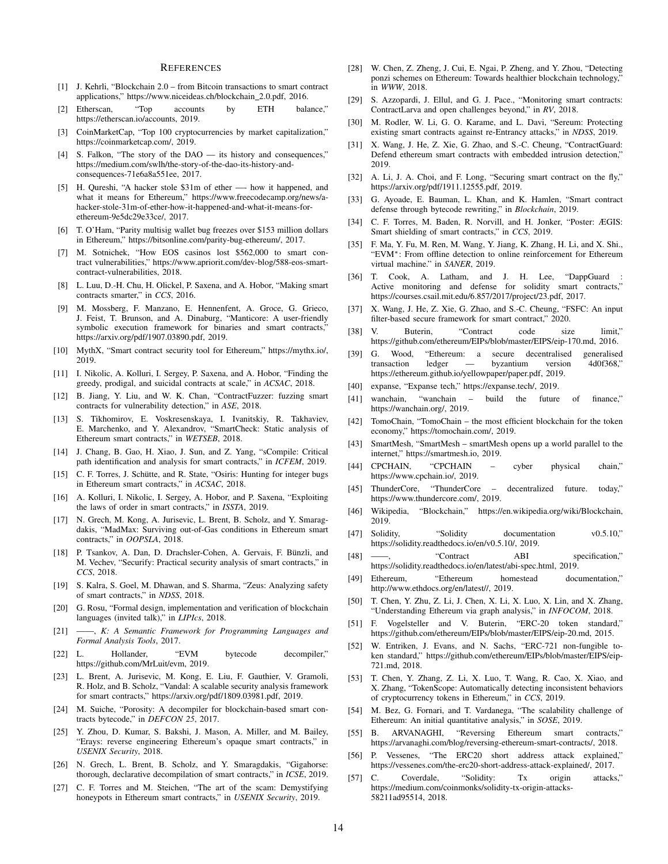#### **REFERENCES**

- [1] J. Kehrli, "Blockchain 2.0 from Bitcoin transactions to smart contract applications," https://www.niceideas.ch/blockchain 2.0.pdf, 2016.
- [2] Etherscan, "Top accounts by ETH balance," https://etherscan.io/accounts, 2019.
- [3] CoinMarketCap, "Top 100 cryptocurrencies by market capitalization," https://coinmarketcap.com/, 2019.
- [4] S. Falkon, "The story of the DAO its history and consequences," https://medium.com/swlh/the-story-of-the-dao-its-history-andconsequences-71e6a8a551ee, 2017.
- [5] H. Qureshi, "A hacker stole \$31m of ether —- how it happened, and what it means for Ethereum," https://www.freecodecamp.org/news/ahacker-stole-31m-of-ether-how-it-happened-and-what-it-means-forethereum-9e5dc29e33ce/, 2017.
- [6] T. O'Ham, "Parity multisig wallet bug freezes over \$153 million dollars in Ethereum," https://bitsonline.com/parity-bug-ethereum/, 2017.
- [7] M. Sotnichek, "How EOS casinos lost \$562,000 to smart contract vulnerabilities," https://www.apriorit.com/dev-blog/588-eos-smartcontract-vulnerabilities, 2018.
- [8] L. Luu, D.-H. Chu, H. Olickel, P. Saxena, and A. Hobor, "Making smart contracts smarter," in *CCS*, 2016.
- [9] M. Mossberg, F. Manzano, E. Hennenfent, A. Groce, G. Grieco, J. Feist, T. Brunson, and A. Dinaburg, "Manticore: A user-friendly symbolic execution framework for binaries and smart contracts,' https://arxiv.org/pdf/1907.03890.pdf, 2019.
- [10] MythX, "Smart contract security tool for Ethereum," https://mythx.io/, 2019.
- [11] I. Nikolic, A. Kolluri, I. Sergey, P. Saxena, and A. Hobor, "Finding the greedy, prodigal, and suicidal contracts at scale," in *ACSAC*, 2018.
- [12] B. Jiang, Y. Liu, and W. K. Chan, "ContractFuzzer: fuzzing smart contracts for vulnerability detection," in *ASE*, 2018.
- [13] S. Tikhomirov, E. Voskresenskaya, I. Ivanitskiy, R. Takhaviev, E. Marchenko, and Y. Alexandrov, "SmartCheck: Static analysis of Ethereum smart contracts," in *WETSEB*, 2018.
- [14] J. Chang, B. Gao, H. Xiao, J. Sun, and Z. Yang, "sCompile: Critical path identification and analysis for smart contracts," in *ICFEM*, 2019.
- [15] C. F. Torres, J. Schütte, and R. State, "Osiris: Hunting for integer bugs in Ethereum smart contracts," in *ACSAC*, 2018.
- [16] A. Kolluri, I. Nikolic, I. Sergey, A. Hobor, and P. Saxena, "Exploiting the laws of order in smart contracts," in *ISSTA*, 2019.
- [17] N. Grech, M. Kong, A. Jurisevic, L. Brent, B. Scholz, and Y. Smaragdakis, "MadMax: Surviving out-of-Gas conditions in Ethereum smart contracts," in *OOPSLA*, 2018.
- [18] P. Tsankov, A. Dan, D. Drachsler-Cohen, A. Gervais, F. Bünzli, and M. Vechev, "Securify: Practical security analysis of smart contracts," in *CCS*, 2018.
- [19] S. Kalra, S. Goel, M. Dhawan, and S. Sharma, "Zeus: Analyzing safety of smart contracts," in *NDSS*, 2018.
- [20] G. Rosu, "Formal design, implementation and verification of blockchain languages (invited talk)," in *LIPIcs*, 2018.
- [21] ——, *K: A Semantic Framework for Programming Languages and Formal Analysis Tools*, 2017.
- [22] L. Hollander, "EVM bytecode decompiler," https://github.com/MrLuit/evm, 2019.
- [23] L. Brent, A. Jurisevic, M. Kong, E. Liu, F. Gauthier, V. Gramoli, R. Holz, and B. Scholz, "Vandal: A scalable security analysis framework for smart contracts," https://arxiv.org/pdf/1809.03981.pdf, 2019.
- [24] M. Suiche, "Porosity: A decompiler for blockchain-based smart contracts bytecode," in *DEFCON 25*, 2017.
- [25] Y. Zhou, D. Kumar, S. Bakshi, J. Mason, A. Miller, and M. Bailey, "Erays: reverse engineering Ethereum's opaque smart contracts," in *USENIX Security*, 2018.
- [26] N. Grech, L. Brent, B. Scholz, and Y. Smaragdakis, "Gigahorse: thorough, declarative decompilation of smart contracts," in *ICSE*, 2019.
- [27] C. F. Torres and M. Steichen, "The art of the scam: Demystifying honeypots in Ethereum smart contracts," in *USENIX Security*, 2019.
- [28] W. Chen, Z. Zheng, J. Cui, E. Ngai, P. Zheng, and Y. Zhou, "Detecting ponzi schemes on Ethereum: Towards healthier blockchain technology, in *WWW*, 2018.
- [29] S. Azzopardi, J. Ellul, and G. J. Pace., "Monitoring smart contracts: ContractLarva and open challenges beyond," in *RV*, 2018.
- [30] M. Rodler, W. Li, G. O. Karame, and L. Davi, "Sereum: Protecting existing smart contracts against re-Entrancy attacks," in *NDSS*, 2019.
- [31] X. Wang, J. He, Z. Xie, G. Zhao, and S.-C. Cheung, "ContractGuard: Defend ethereum smart contracts with embedded intrusion detection," 2019.
- [32] A. Li, J. A. Choi, and F. Long, "Securing smart contract on the fly," https://arxiv.org/pdf/1911.12555.pdf, 2019.
- [33] G. Ayoade, E. Bauman, L. Khan, and K. Hamlen, "Smart contract defense through bytecode rewriting," in *Blockchain*, 2019.
- [34] C. F. Torres, M. Baden, R. Norvill, and H. Jonker, "Poster: ÆGIS: Smart shielding of smart contracts," in *CCS*, 2019.
- [35] F. Ma, Y. Fu, M. Ren, M. Wang, Y. Jiang, K. Zhang, H. Li, and X. Shi., "EVM∗: From offline detection to online reinforcement for Ethereum virtual machine." in *SANER*, 2019.
- [36] T. Cook, A. Latham, and J. H. Lee, "DappGuard : Active monitoring and defense for solidity smart contracts," https://courses.csail.mit.edu/6.857/2017/project/23.pdf, 2017.
- [37] X. Wang, J. He, Z. Xie, G. Zhao, and S.-C. Cheung, "FSFC: An input filter-based secure framework for smart contract," 2020.
- [38] V. Buterin, "Contract code size limit," https://github.com/ethereum/EIPs/blob/master/EIPS/eip-170.md, 2016.
- [39] G. Wood, "Ethereum: a secure decentralised generalised transaction ledger — byzantium version 4d0f368," https://ethereum.github.io/yellowpaper/paper.pdf, 2019.
- [40] expanse, "Expanse tech," https://expanse.tech/, 2019.
- [41] wanchain, "wanchain build the future of finance," https://wanchain.org/, 2019.
- [42] TomoChain, "TomoChain the most efficient blockchain for the token economy," https://tomochain.com/, 2019.
- [43] SmartMesh, "SmartMesh smartMesh opens up a world parallel to the internet," https://smartmesh.io, 2019.
- [44] CPCHAIN, "CPCHAIN cyber physical chain," https://www.cpchain.io/, 2019.
- [45] ThunderCore, "ThunderCore decentralized future. today," https://www.thundercore.com/, 2019.
- [46] Wikipedia, "Blockchain," https://en.wikipedia.org/wiki/Blockchain, 2019.
- [47] Solidity, "Solidity documentation v0.5.10," https://solidity.readthedocs.io/en/v0.5.10/, 2019.
- [48] ——, "Contract ABI specification," https://solidity.readthedocs.io/en/latest/abi-spec.html, 2019.
- [49] Ethereum, "Ethereum homestead documentation," http://www.ethdocs.org/en/latest//, 2019.
- [50] T. Chen, Y. Zhu, Z. Li, J. Chen, X. Li, X. Luo, X. Lin, and X. Zhang, "Understanding Ethereum via graph analysis," in *INFOCOM*, 2018.
- [51] F. Vogelsteller and V. Buterin, "ERC-20 token standard," https://github.com/ethereum/EIPs/blob/master/EIPS/eip-20.md, 2015.
- [52] W. Entriken, J. Evans, and N. Sachs, "ERC-721 non-fungible token standard," https://github.com/ethereum/EIPs/blob/master/EIPS/eip-721.md, 2018.
- [53] T. Chen, Y. Zhang, Z. Li, X. Luo, T. Wang, R. Cao, X. Xiao, and X. Zhang, "TokenScope: Automatically detecting inconsistent behaviors of cryptocurrency tokens in Ethereum," in *CCS*, 2019.
- [54] M. Bez, G. Fornari, and T. Vardanega, "The scalability challenge of Ethereum: An initial quantitative analysis," in *SOSE*, 2019.
- [55] B. ARVANAGHI, "Reversing Ethereum smart contracts," https://arvanaghi.com/blog/reversing-ethereum-smart-contracts/, 2018.
- [56] P. Vessenes, "The ERC20 short address attack explained," https://vessenes.com/the-erc20-short-address-attack-explained/, 2017.
- [57] C. Coverdale, "Solidity: Tx origin attacks," https://medium.com/coinmonks/solidity-tx-origin-attacks-58211ad95514, 2018.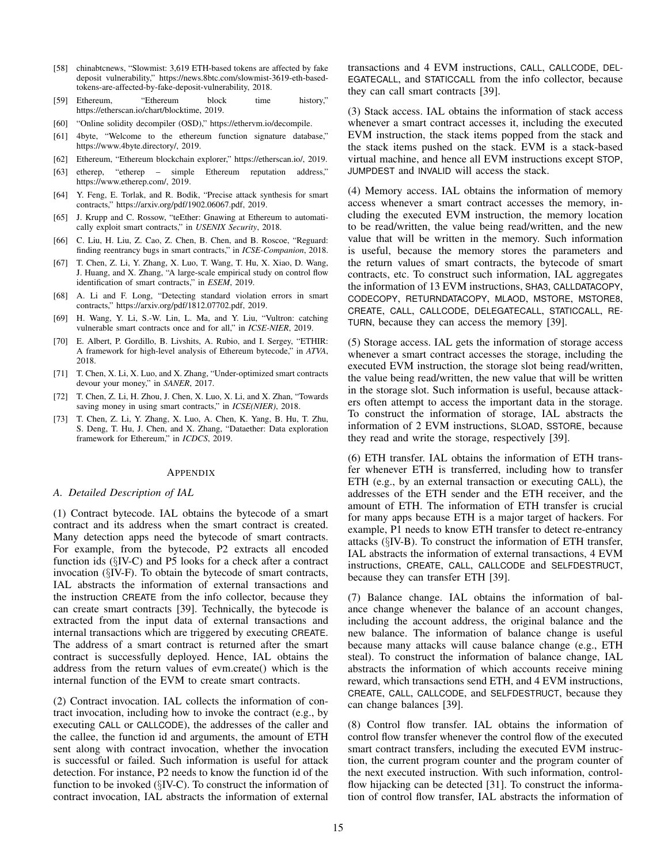- [58] chinabtcnews, "Slowmist: 3,619 ETH-based tokens are affected by fake deposit vulnerability," https://news.8btc.com/slowmist-3619-eth-basedtokens-are-affected-by-fake-deposit-vulnerability, 2018.
- [59] Ethereum, "Ethereum block time history," https://etherscan.io/chart/blocktime, 2019.
- [60] "Online solidity decompiler (OSD)," https://ethervm.io/decompile.
- [61] 4byte, "Welcome to the ethereum function signature database," https://www.4byte.directory/, 2019.
- [62] Ethereum, "Ethereum blockchain explorer," https://etherscan.io/, 2019.
- [63] etherep, "etherep simple Ethereum reputation address," https://www.etherep.com/, 2019.
- [64] Y. Feng, E. Torlak, and R. Bodik, "Precise attack synthesis for smart contracts," https://arxiv.org/pdf/1902.06067.pdf, 2019.
- [65] J. Krupp and C. Rossow, "teEther: Gnawing at Ethereum to automatically exploit smart contracts," in *USENIX Security*, 2018.
- [66] C. Liu, H. Liu, Z. Cao, Z. Chen, B. Chen, and B. Roscoe, "Reguard: finding reentrancy bugs in smart contracts," in *ICSE-Companion*, 2018.
- [67] T. Chen, Z. Li, Y. Zhang, X. Luo, T. Wang, T. Hu, X. Xiao, D. Wang, J. Huang, and X. Zhang, "A large-scale empirical study on control flow identification of smart contracts," in *ESEM*, 2019.
- [68] A. Li and F. Long, "Detecting standard violation errors in smart contracts," https://arxiv.org/pdf/1812.07702.pdf, 2019.
- [69] H. Wang, Y. Li, S.-W. Lin, L. Ma, and Y. Liu, "Vultron: catching vulnerable smart contracts once and for all," in *ICSE-NIER*, 2019.
- [70] E. Albert, P. Gordillo, B. Livshits, A. Rubio, and I. Sergey, "ETHIR: A framework for high-level analysis of Ethereum bytecode," in *ATVA*, 2018.
- [71] T. Chen, X. Li, X. Luo, and X. Zhang, "Under-optimized smart contracts devour your money," in *SANER*, 2017.
- [72] T. Chen, Z. Li, H. Zhou, J. Chen, X. Luo, X. Li, and X. Zhan, "Towards saving money in using smart contracts," in *ICSE(NIER)*, 2018.
- [73] T. Chen, Z. Li, Y. Zhang, X. Luo, A. Chen, K. Yang, B. Hu, T. Zhu, S. Deng, T. Hu, J. Chen, and X. Zhang, "Dataether: Data exploration framework for Ethereum," in *ICDCS*, 2019.

#### APPENDIX

#### *A. Detailed Description of IAL*

(1) Contract bytecode. IAL obtains the bytecode of a smart contract and its address when the smart contract is created. Many detection apps need the bytecode of smart contracts. For example, from the bytecode, P2 extracts all encoded function ids (§IV-C) and P5 looks for a check after a contract invocation (§IV-F). To obtain the bytecode of smart contracts, IAL abstracts the information of external transactions and the instruction CREATE from the info collector, because they can create smart contracts [39]. Technically, the bytecode is extracted from the input data of external transactions and internal transactions which are triggered by executing CREATE. The address of a smart contract is returned after the smart contract is successfully deployed. Hence, IAL obtains the address from the return values of evm.create() which is the internal function of the EVM to create smart contracts.

(2) Contract invocation. IAL collects the information of contract invocation, including how to invoke the contract (e.g., by executing CALL or CALLCODE), the addresses of the caller and the callee, the function id and arguments, the amount of ETH sent along with contract invocation, whether the invocation is successful or failed. Such information is useful for attack detection. For instance, P2 needs to know the function id of the function to be invoked (§IV-C). To construct the information of contract invocation, IAL abstracts the information of external transactions and 4 EVM instructions, CALL, CALLCODE, DEL-EGATECALL, and STATICCALL from the info collector, because they can call smart contracts [39].

(3) Stack access. IAL obtains the information of stack access whenever a smart contract accesses it, including the executed EVM instruction, the stack items popped from the stack and the stack items pushed on the stack. EVM is a stack-based virtual machine, and hence all EVM instructions except STOP, JUMPDEST and INVALID will access the stack.

(4) Memory access. IAL obtains the information of memory access whenever a smart contract accesses the memory, including the executed EVM instruction, the memory location to be read/written, the value being read/written, and the new value that will be written in the memory. Such information is useful, because the memory stores the parameters and the return values of smart contracts, the bytecode of smart contracts, etc. To construct such information, IAL aggregates the information of 13 EVM instructions, SHA3, CALLDATACOPY, CODECOPY, RETURNDATACOPY, MLAOD, MSTORE, MSTORE8, CREATE, CALL, CALLCODE, DELEGATECALL, STATICCALL, RE-TURN, because they can access the memory [39].

(5) Storage access. IAL gets the information of storage access whenever a smart contract accesses the storage, including the executed EVM instruction, the storage slot being read/written, the value being read/written, the new value that will be written in the storage slot. Such information is useful, because attackers often attempt to access the important data in the storage. To construct the information of storage, IAL abstracts the information of 2 EVM instructions, SLOAD, SSTORE, because they read and write the storage, respectively [39].

(6) ETH transfer. IAL obtains the information of ETH transfer whenever ETH is transferred, including how to transfer ETH (e.g., by an external transaction or executing CALL), the addresses of the ETH sender and the ETH receiver, and the amount of ETH. The information of ETH transfer is crucial for many apps because ETH is a major target of hackers. For example, P1 needs to know ETH transfer to detect re-entrancy attacks (§IV-B). To construct the information of ETH transfer, IAL abstracts the information of external transactions, 4 EVM instructions, CREATE, CALL, CALLCODE and SELFDESTRUCT, because they can transfer ETH [39].

(7) Balance change. IAL obtains the information of balance change whenever the balance of an account changes, including the account address, the original balance and the new balance. The information of balance change is useful because many attacks will cause balance change (e.g., ETH steal). To construct the information of balance change, IAL abstracts the information of which accounts receive mining reward, which transactions send ETH, and 4 EVM instructions, CREATE, CALL, CALLCODE, and SELFDESTRUCT, because they can change balances [39].

(8) Control flow transfer. IAL obtains the information of control flow transfer whenever the control flow of the executed smart contract transfers, including the executed EVM instruction, the current program counter and the program counter of the next executed instruction. With such information, controlflow hijacking can be detected [31]. To construct the information of control flow transfer, IAL abstracts the information of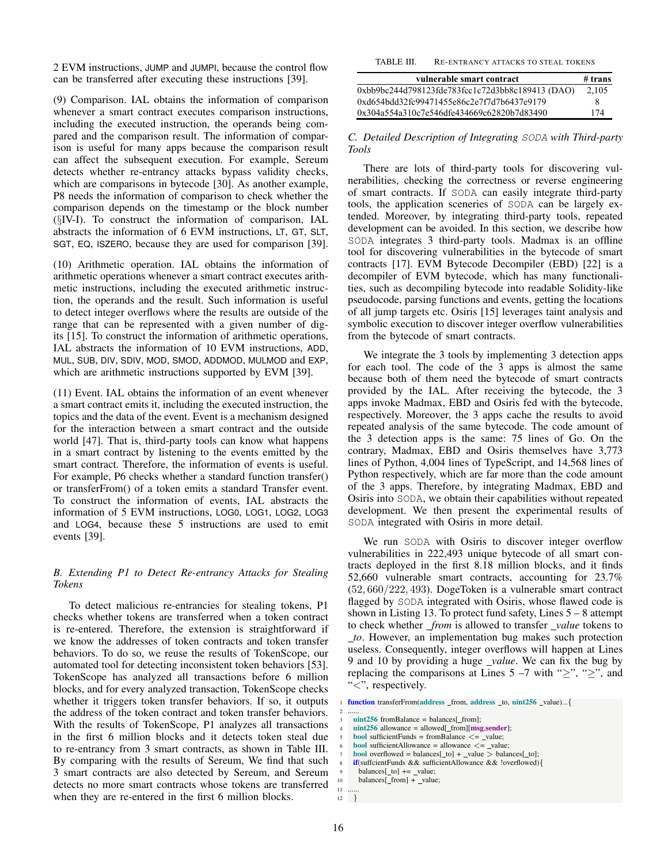2 EVM instructions, JUMP and JUMPI, because the control flow can be transferred after executing these instructions [39].

(9) Comparison. IAL obtains the information of comparison whenever a smart contract executes comparison instructions, including the executed instruction, the operands being compared and the comparison result. The information of comparison is useful for many apps because the comparison result can affect the subsequent execution. For example, Sereum detects whether re-entrancy attacks bypass validity checks, which are comparisons in bytecode [30]. As another example, P8 needs the information of comparison to check whether the comparison depends on the timestamp or the block number (§IV-I). To construct the information of comparison, IAL abstracts the information of 6 EVM instructions, LT, GT, SLT, SGT, EQ, ISZERO, because they are used for comparison [39].

(10) Arithmetic operation. IAL obtains the information of arithmetic operations whenever a smart contract executes arithmetic instructions, including the executed arithmetic instruction, the operands and the result. Such information is useful to detect integer overflows where the results are outside of the range that can be represented with a given number of digits [15]. To construct the information of arithmetic operations, IAL abstracts the information of 10 EVM instructions, ADD, MUL, SUB, DIV, SDIV, MOD, SMOD, ADDMOD, MULMOD and EXP, which are arithmetic instructions supported by EVM [39].

(11) Event. IAL obtains the information of an event whenever a smart contract emits it, including the executed instruction, the topics and the data of the event. Event is a mechanism designed for the interaction between a smart contract and the outside world [47]. That is, third-party tools can know what happens in a smart contract by listening to the events emitted by the smart contract. Therefore, the information of events is useful. For example, P6 checks whether a standard function transfer() or transferFrom() of a token emits a standard Transfer event. To construct the information of events, IAL abstracts the information of 5 EVM instructions, LOG0, LOG1, LOG2, LOG3 and LOG4, because these 5 instructions are used to emit events [39].

# *B. Extending P1 to Detect Re-entrancy Attacks for Stealing Tokens*

To detect malicious re-entrancies for stealing tokens, P1 checks whether tokens are transferred when a token contract is re-entered. Therefore, the extension is straightforward if we know the addresses of token contracts and token transfer behaviors. To do so, we reuse the results of TokenScope, our automated tool for detecting inconsistent token behaviors [53]. TokenScope has analyzed all transactions before 6 million blocks, and for every analyzed transaction, TokenScope checks whether it triggers token transfer behaviors. If so, it outputs the address of the token contract and token transfer behaviors. With the results of TokenScope, P1 analyzes all transactions in the first 6 million blocks and it detects token steal due to re-entrancy from 3 smart contracts, as shown in Table III. By comparing with the results of Sereum, We find that such 3 smart contracts are also detected by Sereum, and Sereum detects no more smart contracts whose tokens are transferred when they are re-entered in the first 6 million blocks.

| vulnerable smart contract                        | $#$ trans |
|--------------------------------------------------|-----------|
| 0xbb9bc244d798123fde783fcc1c72d3bb8c189413 (DAO) | 2.105     |
| 0xd654bdd32fc99471455e86c2e7f7d7b6437e9179       | x         |
| 0x304a554a310c7e546dfe434669c62820b7d83490       | 174       |

*C. Detailed Description of Integrating* SODA *with Third-party Tools*

There are lots of third-party tools for discovering vulnerabilities, checking the correctness or reverse engineering of smart contracts. If SODA can easily integrate third-party tools, the application sceneries of SODA can be largely extended. Moreover, by integrating third-party tools, repeated development can be avoided. In this section, we describe how SODA integrates 3 third-party tools. Madmax is an offline tool for discovering vulnerabilities in the bytecode of smart contracts [17]. EVM Bytecode Decompiler (EBD) [22] is a decompiler of EVM bytecode, which has many functionalities, such as decompiling bytecode into readable Solidity-like pseudocode, parsing functions and events, getting the locations of all jump targets etc. Osiris [15] leverages taint analysis and symbolic execution to discover integer overflow vulnerabilities from the bytecode of smart contracts.

We integrate the 3 tools by implementing 3 detection apps for each tool. The code of the 3 apps is almost the same because both of them need the bytecode of smart contracts provided by the IAL. After receiving the bytecode, the 3 apps invoke Madmax, EBD and Osiris fed with the bytecode, respectively. Moreover, the 3 apps cache the results to avoid repeated analysis of the same bytecode. The code amount of the 3 detection apps is the same: 75 lines of Go. On the contrary, Madmax, EBD and Osiris themselves have 3,773 lines of Python, 4,004 lines of TypeScript, and 14,568 lines of Python respectively, which are far more than the code amount of the 3 apps. Therefore, by integrating Madmax, EBD and Osiris into SODA, we obtain their capabilities without repeated development. We then present the experimental results of SODA integrated with Osiris in more detail.

We run SODA with Osiris to discover integer overflow vulnerabilities in 222,493 unique bytecode of all smart contracts deployed in the first 8.18 million blocks, and it finds 52,660 vulnerable smart contracts, accounting for 23.7% (52, 660/222, 493). DogeToken is a vulnerable smart contract flagged by SODA integrated with Osiris, whose flawed code is shown in Listing 13. To protect fund safety, Lines  $5 - 8$  attempt to check whether *from* is allowed to transfer *value* tokens to *to*. However, an implementation bug makes such protection useless. Consequently, integer overflows will happen at Lines 9 and 10 by providing a huge *value*. We can fix the bug by replacing the comparisons at Lines  $5 -7$  with ">", ">", and "<", respectively.

**bool** sufficientAllowance = allowance  $\lt$  = \_value;

<sup>1</sup> function transferFrom(address from, address to, uint256 value)... {

<sup>2</sup> ......  $uint256$  fromBalance = balances[ from];

 $uint256$  allowance = allowed[\_from][ $msg.sender$ ];

**bool** sufficientFunds = fromBalance  $\lt$  = value;

**bool** overflowed = balances[\_to] + \_value > balances[\_to];

if(suffcientFunds && sufficientAllowance && !overflowed){

 $balances[$ \_to]  $+=$  \_value;

balances[\_from] + \_value;

<sup>11</sup> ...... 12 }